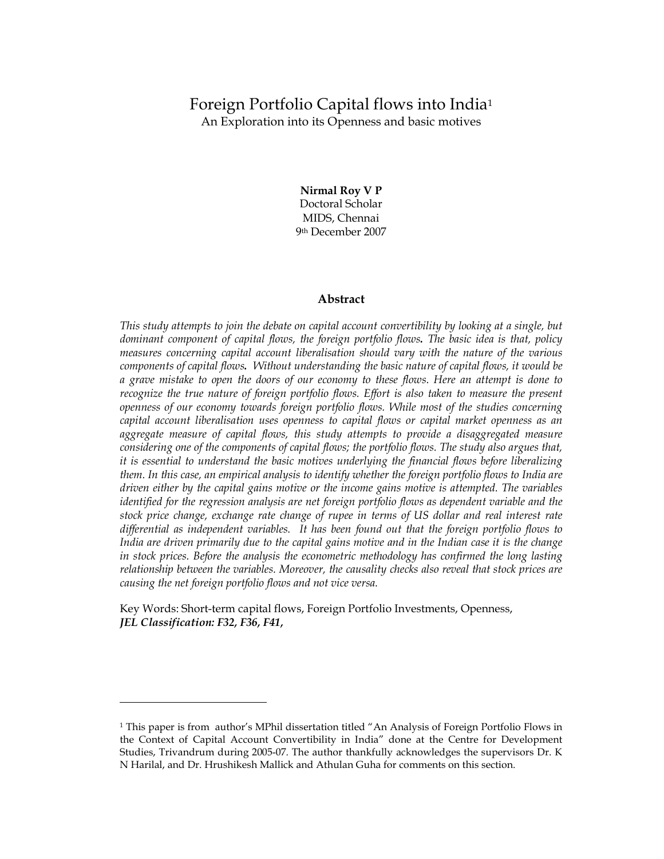# Foreign Portfolio Capital flows into India<sup>1</sup>

An Exploration into its Openness and basic motives

Nirmal Roy V P Doctoral Scholar MIDS, Chennai 9th December 2007

## Abstract

This study attempts to join the debate on capital account convertibility by looking at a single, but dominant component of capital flows, the foreign portfolio flows. The basic idea is that, policy measures concerning capital account liberalisation should vary with the nature of the various components of capital flows. Without understanding the basic nature of capital flows, it would be a grave mistake to open the doors of our economy to these flows. Here an attempt is done to recognize the true nature of foreign portfolio flows. Effort is also taken to measure the present openness of our economy towards foreign portfolio flows. While most of the studies concerning capital account liberalisation uses openness to capital flows or capital market openness as an aggregate measure of capital flows, this study attempts to provide a disaggregated measure considering one of the components of capital flows; the portfolio flows. The study also argues that, it is essential to understand the basic motives underlying the financial flows before liberalizing them. In this case, an empirical analysis to identify whether the foreign portfolio flows to India are driven either by the capital gains motive or the income gains motive is attempted. The variables identified for the regression analysis are net foreign portfolio flows as dependent variable and the stock price change, exchange rate change of rupee in terms of US dollar and real interest rate differential as independent variables. It has been found out that the foreign portfolio flows to India are driven primarily due to the capital gains motive and in the Indian case it is the change in stock prices. Before the analysis the econometric methodology has confirmed the long lasting relationship between the variables. Moreover, the causality checks also reveal that stock prices are causing the net foreign portfolio flows and not vice versa.

Key Words: Short-term capital flows, Foreign Portfolio Investments, Openness, JEL Classification: F32, F36, F41,

<sup>1</sup> This paper is from author's MPhil dissertation titled "An Analysis of Foreign Portfolio Flows in the Context of Capital Account Convertibility in India" done at the Centre for Development Studies, Trivandrum during 2005-07. The author thankfully acknowledges the supervisors Dr. K N Harilal, and Dr. Hrushikesh Mallick and Athulan Guha for comments on this section.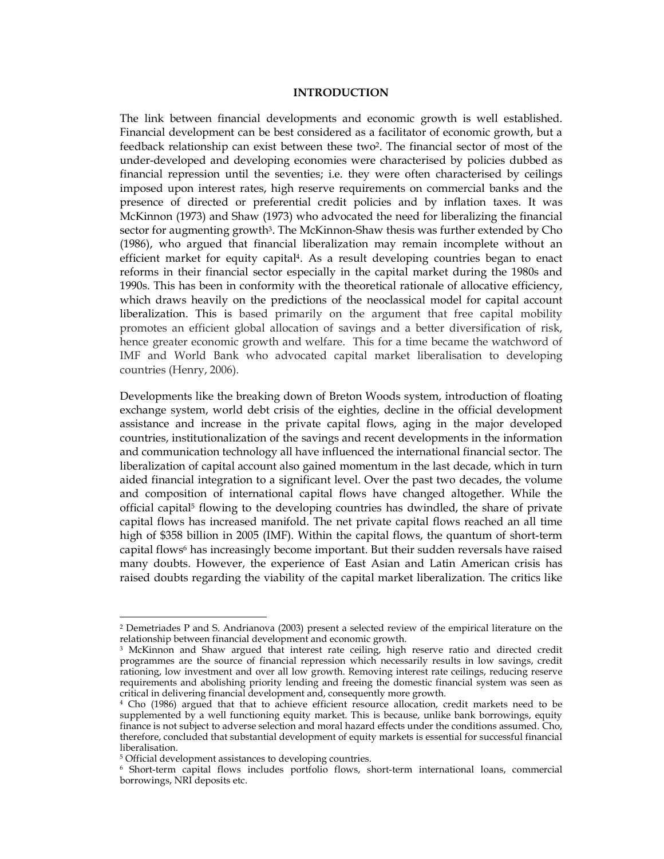### INTRODUCTION

The link between financial developments and economic growth is well established. Financial development can be best considered as a facilitator of economic growth, but a feedback relationship can exist between these two2. The financial sector of most of the under-developed and developing economies were characterised by policies dubbed as financial repression until the seventies; i.e. they were often characterised by ceilings imposed upon interest rates, high reserve requirements on commercial banks and the presence of directed or preferential credit policies and by inflation taxes. It was McKinnon (1973) and Shaw (1973) who advocated the need for liberalizing the financial sector for augmenting growth<sup>3</sup>. The McKinnon-Shaw thesis was further extended by Cho (1986), who argued that financial liberalization may remain incomplete without an efficient market for equity capital4. As a result developing countries began to enact reforms in their financial sector especially in the capital market during the 1980s and 1990s. This has been in conformity with the theoretical rationale of allocative efficiency, which draws heavily on the predictions of the neoclassical model for capital account liberalization. This is based primarily on the argument that free capital mobility promotes an efficient global allocation of savings and a better diversification of risk, hence greater economic growth and welfare. This for a time became the watchword of IMF and World Bank who advocated capital market liberalisation to developing countries (Henry, 2006).

Developments like the breaking down of Breton Woods system, introduction of floating exchange system, world debt crisis of the eighties, decline in the official development assistance and increase in the private capital flows, aging in the major developed countries, institutionalization of the savings and recent developments in the information and communication technology all have influenced the international financial sector. The liberalization of capital account also gained momentum in the last decade, which in turn aided financial integration to a significant level. Over the past two decades, the volume and composition of international capital flows have changed altogether. While the official capital5 flowing to the developing countries has dwindled, the share of private capital flows has increased manifold. The net private capital flows reached an all time high of \$358 billion in 2005 (IMF). Within the capital flows, the quantum of short-term capital flows<sup>6</sup> has increasingly become important. But their sudden reversals have raised many doubts. However, the experience of East Asian and Latin American crisis has raised doubts regarding the viability of the capital market liberalization. The critics like

<sup>2</sup> Demetriades P and S. Andrianova (2003) present a selected review of the empirical literature on the relationship between financial development and economic growth.

<sup>3</sup> McKinnon and Shaw argued that interest rate ceiling, high reserve ratio and directed credit programmes are the source of financial repression which necessarily results in low savings, credit rationing, low investment and over all low growth. Removing interest rate ceilings, reducing reserve requirements and abolishing priority lending and freeing the domestic financial system was seen as critical in delivering financial development and, consequently more growth.

<sup>4</sup> Cho (1986) argued that that to achieve efficient resource allocation, credit markets need to be supplemented by a well functioning equity market. This is because, unlike bank borrowings, equity finance is not subject to adverse selection and moral hazard effects under the conditions assumed. Cho, therefore, concluded that substantial development of equity markets is essential for successful financial liberalisation.

<sup>5</sup> Official development assistances to developing countries.

<sup>6</sup> Short-term capital flows includes portfolio flows, short-term international loans, commercial borrowings, NRI deposits etc.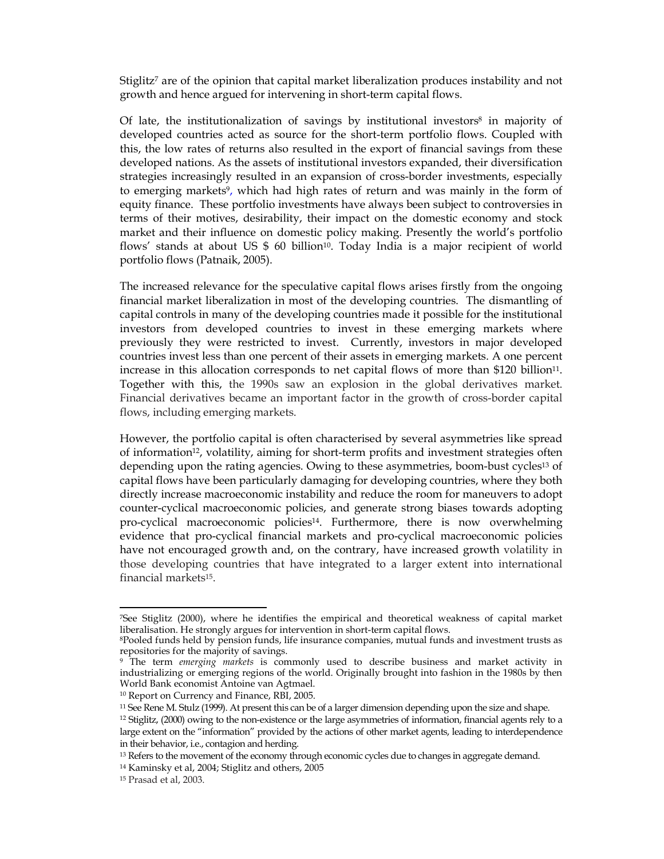Stiglitz<sup>7</sup> are of the opinion that capital market liberalization produces instability and not growth and hence argued for intervening in short-term capital flows.

Of late, the institutionalization of savings by institutional investors<sup>8</sup> in majority of developed countries acted as source for the short-term portfolio flows. Coupled with this, the low rates of returns also resulted in the export of financial savings from these developed nations. As the assets of institutional investors expanded, their diversification strategies increasingly resulted in an expansion of cross-border investments, especially to emerging markets<sup>9</sup>, which had high rates of return and was mainly in the form of equity finance. These portfolio investments have always been subject to controversies in terms of their motives, desirability, their impact on the domestic economy and stock market and their influence on domestic policy making. Presently the world's portfolio flows' stands at about US \$ 60 billion<sup>10</sup>. Today India is a major recipient of world portfolio flows (Patnaik, 2005).

The increased relevance for the speculative capital flows arises firstly from the ongoing financial market liberalization in most of the developing countries. The dismantling of capital controls in many of the developing countries made it possible for the institutional investors from developed countries to invest in these emerging markets where previously they were restricted to invest. Currently, investors in major developed countries invest less than one percent of their assets in emerging markets. A one percent increase in this allocation corresponds to net capital flows of more than \$120 billion<sup>11</sup>. Together with this, the 1990s saw an explosion in the global derivatives market. Financial derivatives became an important factor in the growth of cross-border capital flows, including emerging markets.

However, the portfolio capital is often characterised by several asymmetries like spread of information12, volatility, aiming for short-term profits and investment strategies often depending upon the rating agencies. Owing to these asymmetries, boom-bust cycles<sup>13</sup> of capital flows have been particularly damaging for developing countries, where they both directly increase macroeconomic instability and reduce the room for maneuvers to adopt counter-cyclical macroeconomic policies, and generate strong biases towards adopting pro-cyclical macroeconomic policies14. Furthermore, there is now overwhelming evidence that pro-cyclical financial markets and pro-cyclical macroeconomic policies have not encouraged growth and, on the contrary, have increased growth volatility in those developing countries that have integrated to a larger extent into international financial markets15.

<sup>-</sup><sup>7</sup>See Stiglitz (2000), where he identifies the empirical and theoretical weakness of capital market liberalisation. He strongly argues for intervention in short-term capital flows.

<sup>8</sup>Pooled funds held by pension funds, life insurance companies, mutual funds and investment trusts as repositories for the majority of savings.

<sup>&</sup>lt;sup>9</sup> The term emerging markets is commonly used to describe business and market activity in industrializing or emerging regions of the world. Originally brought into fashion in the 1980s by then World Bank economist Antoine van Agtmael.

<sup>10</sup> Report on Currency and Finance, RBI, 2005.

<sup>11</sup> See Rene M. Stulz (1999). At present this can be of a larger dimension depending upon the size and shape.

 $12$  Stiglitz, (2000) owing to the non-existence or the large asymmetries of information, financial agents rely to a large extent on the "information" provided by the actions of other market agents, leading to interdependence in their behavior, i.e., contagion and herding.

<sup>&</sup>lt;sup>13</sup> Refers to the movement of the economy through economic cycles due to changes in aggregate demand.

<sup>14</sup> Kaminsky et al, 2004; Stiglitz and others, 2005

<sup>15</sup> Prasad et al, 2003.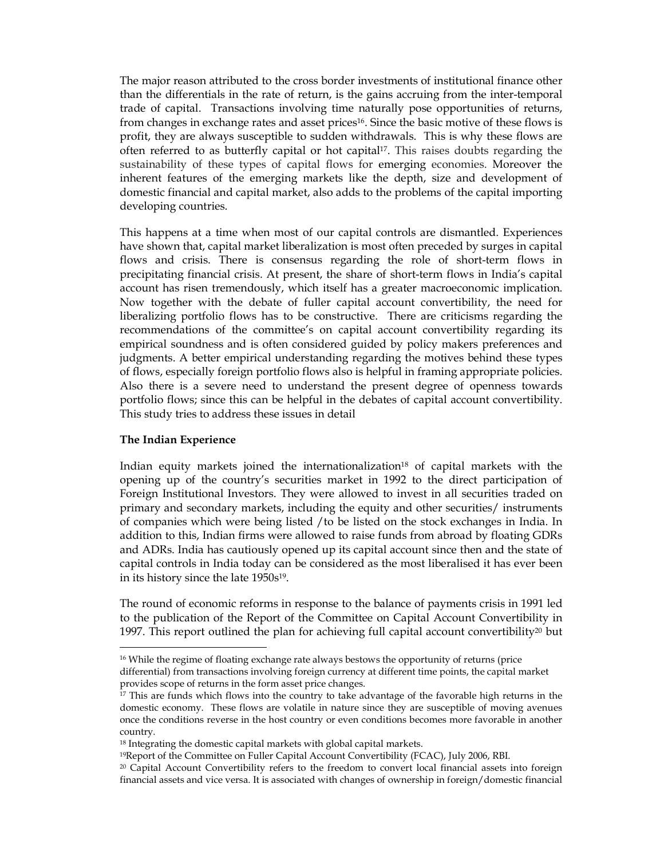The major reason attributed to the cross border investments of institutional finance other than the differentials in the rate of return, is the gains accruing from the inter-temporal trade of capital. Transactions involving time naturally pose opportunities of returns, from changes in exchange rates and asset prices<sup>16</sup>. Since the basic motive of these flows is profit, they are always susceptible to sudden withdrawals. This is why these flows are often referred to as butterfly capital or hot capital<sup>17</sup>. This raises doubts regarding the sustainability of these types of capital flows for emerging economies. Moreover the inherent features of the emerging markets like the depth, size and development of domestic financial and capital market, also adds to the problems of the capital importing developing countries.

This happens at a time when most of our capital controls are dismantled. Experiences have shown that, capital market liberalization is most often preceded by surges in capital flows and crisis. There is consensus regarding the role of short-term flows in precipitating financial crisis. At present, the share of short-term flows in India's capital account has risen tremendously, which itself has a greater macroeconomic implication. Now together with the debate of fuller capital account convertibility, the need for liberalizing portfolio flows has to be constructive. There are criticisms regarding the recommendations of the committee's on capital account convertibility regarding its empirical soundness and is often considered guided by policy makers preferences and judgments. A better empirical understanding regarding the motives behind these types of flows, especially foreign portfolio flows also is helpful in framing appropriate policies. Also there is a severe need to understand the present degree of openness towards portfolio flows; since this can be helpful in the debates of capital account convertibility. This study tries to address these issues in detail

## The Indian Experience

-

Indian equity markets joined the internationalization<sup>18</sup> of capital markets with the opening up of the country's securities market in 1992 to the direct participation of Foreign Institutional Investors. They were allowed to invest in all securities traded on primary and secondary markets, including the equity and other securities/ instruments of companies which were being listed /to be listed on the stock exchanges in India. In addition to this, Indian firms were allowed to raise funds from abroad by floating GDRs and ADRs. India has cautiously opened up its capital account since then and the state of capital controls in India today can be considered as the most liberalised it has ever been in its history since the late 1950s19.

The round of economic reforms in response to the balance of payments crisis in 1991 led to the publication of the Report of the Committee on Capital Account Convertibility in 1997. This report outlined the plan for achieving full capital account convertibility $20$  but

<sup>&</sup>lt;sup>16</sup> While the regime of floating exchange rate always bestows the opportunity of returns (price differential) from transactions involving foreign currency at different time points, the capital market provides scope of returns in the form asset price changes.

<sup>&</sup>lt;sup>17</sup> This are funds which flows into the country to take advantage of the favorable high returns in the domestic economy. These flows are volatile in nature since they are susceptible of moving avenues once the conditions reverse in the host country or even conditions becomes more favorable in another country.

<sup>&</sup>lt;sup>18</sup> Integrating the domestic capital markets with global capital markets.

<sup>19</sup>Report of the Committee on Fuller Capital Account Convertibility (FCAC), July 2006, RBI.

<sup>&</sup>lt;sup>20</sup> Capital Account Convertibility refers to the freedom to convert local financial assets into foreign financial assets and vice versa. It is associated with changes of ownership in foreign/domestic financial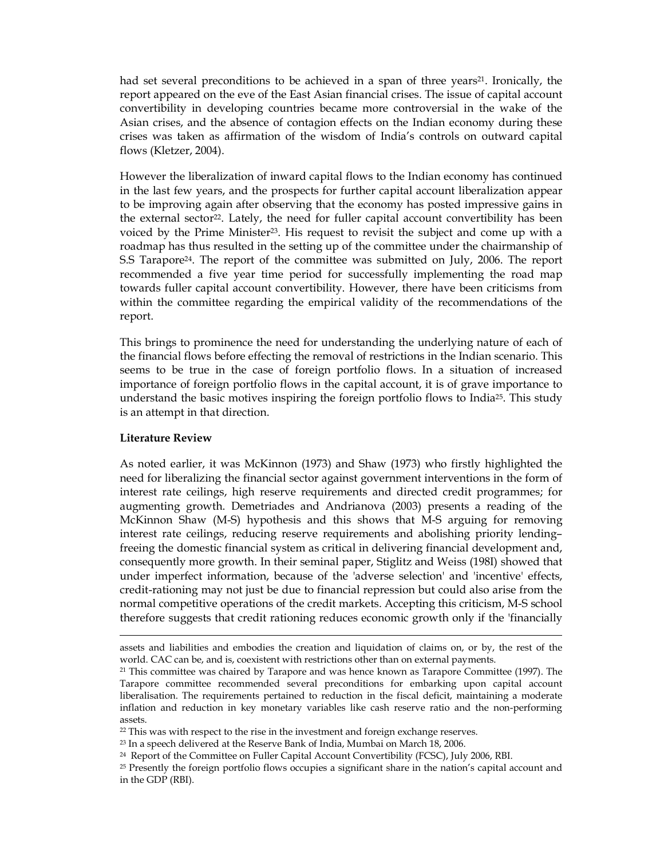had set several preconditions to be achieved in a span of three years<sup>21</sup>. Ironically, the report appeared on the eve of the East Asian financial crises. The issue of capital account convertibility in developing countries became more controversial in the wake of the Asian crises, and the absence of contagion effects on the Indian economy during these crises was taken as affirmation of the wisdom of India's controls on outward capital flows (Kletzer, 2004).

However the liberalization of inward capital flows to the Indian economy has continued in the last few years, and the prospects for further capital account liberalization appear to be improving again after observing that the economy has posted impressive gains in the external sector<sup>22</sup>. Lately, the need for fuller capital account convertibility has been voiced by the Prime Minister23. His request to revisit the subject and come up with a roadmap has thus resulted in the setting up of the committee under the chairmanship of S.S Tarapore24. The report of the committee was submitted on July, 2006. The report recommended a five year time period for successfully implementing the road map towards fuller capital account convertibility. However, there have been criticisms from within the committee regarding the empirical validity of the recommendations of the report.

This brings to prominence the need for understanding the underlying nature of each of the financial flows before effecting the removal of restrictions in the Indian scenario. This seems to be true in the case of foreign portfolio flows. In a situation of increased importance of foreign portfolio flows in the capital account, it is of grave importance to understand the basic motives inspiring the foreign portfolio flows to India25. This study is an attempt in that direction.

## Literature Review

-

As noted earlier, it was McKinnon (1973) and Shaw (1973) who firstly highlighted the need for liberalizing the financial sector against government interventions in the form of interest rate ceilings, high reserve requirements and directed credit programmes; for augmenting growth. Demetriades and Andrianova (2003) presents a reading of the McKinnon Shaw (M-S) hypothesis and this shows that M-S arguing for removing interest rate ceilings, reducing reserve requirements and abolishing priority lending– freeing the domestic financial system as critical in delivering financial development and, consequently more growth. In their seminal paper, Stiglitz and Weiss (198I) showed that under imperfect information, because of the 'adverse selection' and 'incentive' effects, credit-rationing may not just be due to financial repression but could also arise from the normal competitive operations of the credit markets. Accepting this criticism, M-S school therefore suggests that credit rationing reduces economic growth only if the 'financially

<sup>22</sup> This was with respect to the rise in the investment and foreign exchange reserves.

assets and liabilities and embodies the creation and liquidation of claims on, or by, the rest of the world. CAC can be, and is, coexistent with restrictions other than on external payments.

 $21$  This committee was chaired by Tarapore and was hence known as Tarapore Committee (1997). The Tarapore committee recommended several preconditions for embarking upon capital account liberalisation. The requirements pertained to reduction in the fiscal deficit, maintaining a moderate inflation and reduction in key monetary variables like cash reserve ratio and the non-performing assets.

<sup>23</sup> In a speech delivered at the Reserve Bank of India, Mumbai on March 18, 2006.

<sup>24</sup> Report of the Committee on Fuller Capital Account Convertibility (FCSC), July 2006, RBI.

<sup>&</sup>lt;sup>25</sup> Presently the foreign portfolio flows occupies a significant share in the nation's capital account and in the GDP (RBI).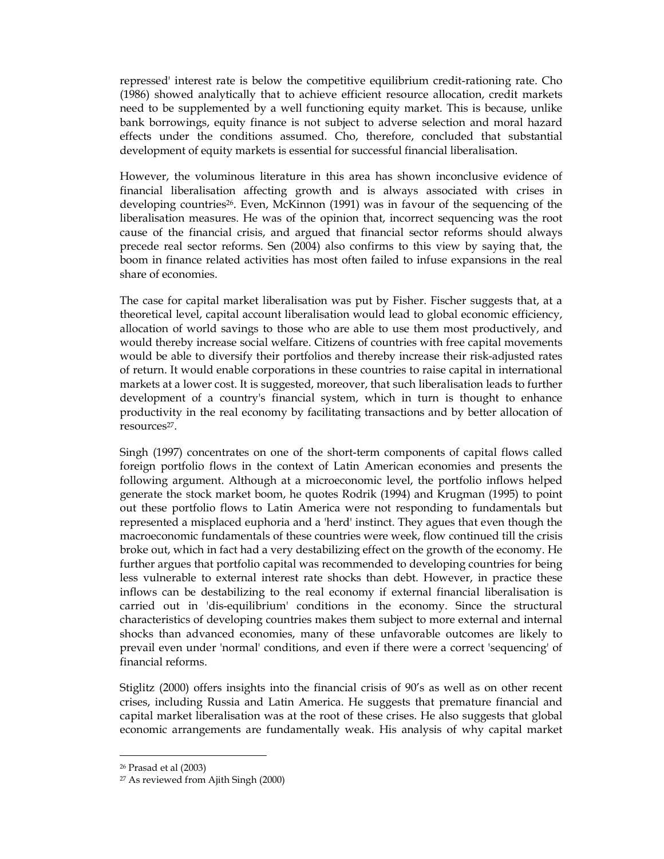repressed' interest rate is below the competitive equilibrium credit-rationing rate. Cho (1986) showed analytically that to achieve efficient resource allocation, credit markets need to be supplemented by a well functioning equity market. This is because, unlike bank borrowings, equity finance is not subject to adverse selection and moral hazard effects under the conditions assumed. Cho, therefore, concluded that substantial development of equity markets is essential for successful financial liberalisation.

However, the voluminous literature in this area has shown inconclusive evidence of financial liberalisation affecting growth and is always associated with crises in developing countries<sup>26</sup>. Even, McKinnon (1991) was in favour of the sequencing of the liberalisation measures. He was of the opinion that, incorrect sequencing was the root cause of the financial crisis, and argued that financial sector reforms should always precede real sector reforms. Sen (2004) also confirms to this view by saying that, the boom in finance related activities has most often failed to infuse expansions in the real share of economies.

The case for capital market liberalisation was put by Fisher. Fischer suggests that, at a theoretical level, capital account liberalisation would lead to global economic efficiency, allocation of world savings to those who are able to use them most productively, and would thereby increase social welfare. Citizens of countries with free capital movements would be able to diversify their portfolios and thereby increase their risk-adjusted rates of return. It would enable corporations in these countries to raise capital in international markets at a lower cost. It is suggested, moreover, that such liberalisation leads to further development of a country's financial system, which in turn is thought to enhance productivity in the real economy by facilitating transactions and by better allocation of resources27.

Singh (1997) concentrates on one of the short-term components of capital flows called foreign portfolio flows in the context of Latin American economies and presents the following argument. Although at a microeconomic level, the portfolio inflows helped generate the stock market boom, he quotes Rodrik (1994) and Krugman (1995) to point out these portfolio flows to Latin America were not responding to fundamentals but represented a misplaced euphoria and a 'herd' instinct. They agues that even though the macroeconomic fundamentals of these countries were week, flow continued till the crisis broke out, which in fact had a very destabilizing effect on the growth of the economy. He further argues that portfolio capital was recommended to developing countries for being less vulnerable to external interest rate shocks than debt. However, in practice these inflows can be destabilizing to the real economy if external financial liberalisation is carried out in 'dis-equilibrium' conditions in the economy. Since the structural characteristics of developing countries makes them subject to more external and internal shocks than advanced economies, many of these unfavorable outcomes are likely to prevail even under 'normal' conditions, and even if there were a correct 'sequencing' of financial reforms.

Stiglitz (2000) offers insights into the financial crisis of 90's as well as on other recent crises, including Russia and Latin America. He suggests that premature financial and capital market liberalisation was at the root of these crises. He also suggests that global economic arrangements are fundamentally weak. His analysis of why capital market

<sup>26</sup> Prasad et al (2003)

<sup>27</sup> As reviewed from Ajith Singh (2000)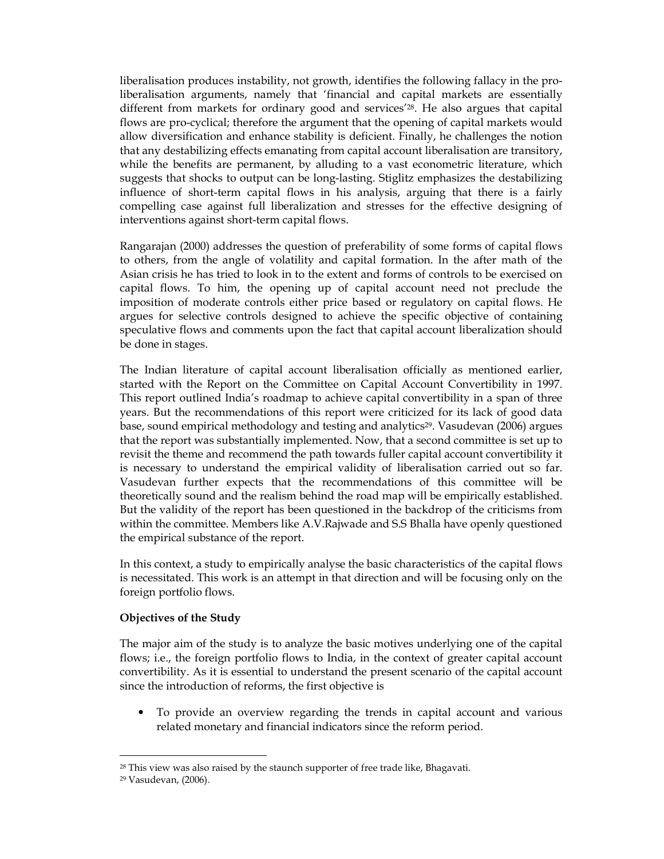liberalisation produces instability, not growth, identifies the following fallacy in the proliberalisation arguments, namely that 'financial and capital markets are essentially different from markets for ordinary good and services'28. He also argues that capital flows are pro-cyclical; therefore the argument that the opening of capital markets would allow diversification and enhance stability is deficient. Finally, he challenges the notion that any destabilizing effects emanating from capital account liberalisation are transitory, while the benefits are permanent, by alluding to a vast econometric literature, which suggests that shocks to output can be long-lasting. Stiglitz emphasizes the destabilizing influence of short-term capital flows in his analysis, arguing that there is a fairly compelling case against full liberalization and stresses for the effective designing of interventions against short-term capital flows.

Rangarajan (2000) addresses the question of preferability of some forms of capital flows to others, from the angle of volatility and capital formation. In the after math of the Asian crisis he has tried to look in to the extent and forms of controls to be exercised on capital flows. To him, the opening up of capital account need not preclude the imposition of moderate controls either price based or regulatory on capital flows. He argues for selective controls designed to achieve the specific objective of containing speculative flows and comments upon the fact that capital account liberalization should be done in stages.

The Indian literature of capital account liberalisation officially as mentioned earlier, started with the Report on the Committee on Capital Account Convertibility in 1997. This report outlined India's roadmap to achieve capital convertibility in a span of three years. But the recommendations of this report were criticized for its lack of good data base, sound empirical methodology and testing and analytics<sup>29</sup>. Vasudevan (2006) argues that the report was substantially implemented. Now, that a second committee is set up to revisit the theme and recommend the path towards fuller capital account convertibility it is necessary to understand the empirical validity of liberalisation carried out so far. Vasudevan further expects that the recommendations of this committee will be theoretically sound and the realism behind the road map will be empirically established. But the validity of the report has been questioned in the backdrop of the criticisms from within the committee. Members like A.V.Rajwade and S.S Bhalla have openly questioned the empirical substance of the report.

In this context, a study to empirically analyse the basic characteristics of the capital flows is necessitated. This work is an attempt in that direction and will be focusing only on the foreign portfolio flows.

## Objectives of the Study

The major aim of the study is to analyze the basic motives underlying one of the capital flows; i.e., the foreign portfolio flows to India, in the context of greater capital account convertibility. As it is essential to understand the present scenario of the capital account since the introduction of reforms, the first objective is

• To provide an overview regarding the trends in capital account and various related monetary and financial indicators since the reform period.

<sup>&</sup>lt;sup>28</sup> This view was also raised by the staunch supporter of free trade like, Bhagavati.

<sup>29</sup> Vasudevan, (2006).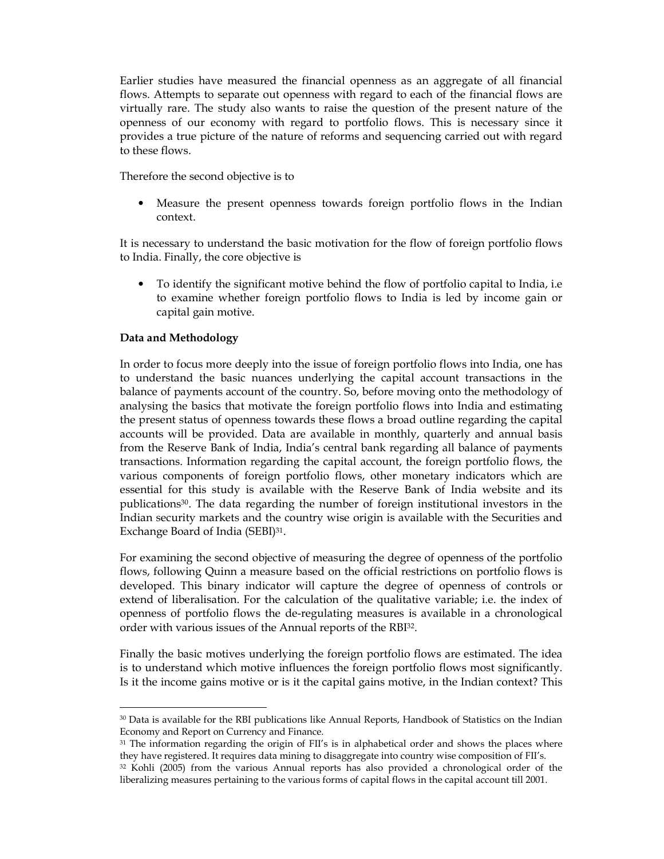Earlier studies have measured the financial openness as an aggregate of all financial flows. Attempts to separate out openness with regard to each of the financial flows are virtually rare. The study also wants to raise the question of the present nature of the openness of our economy with regard to portfolio flows. This is necessary since it provides a true picture of the nature of reforms and sequencing carried out with regard to these flows.

Therefore the second objective is to

• Measure the present openness towards foreign portfolio flows in the Indian context.

It is necessary to understand the basic motivation for the flow of foreign portfolio flows to India. Finally, the core objective is

• To identify the significant motive behind the flow of portfolio capital to India, i.e to examine whether foreign portfolio flows to India is led by income gain or capital gain motive.

## Data and Methodology

-

In order to focus more deeply into the issue of foreign portfolio flows into India, one has to understand the basic nuances underlying the capital account transactions in the balance of payments account of the country. So, before moving onto the methodology of analysing the basics that motivate the foreign portfolio flows into India and estimating the present status of openness towards these flows a broad outline regarding the capital accounts will be provided. Data are available in monthly, quarterly and annual basis from the Reserve Bank of India, India's central bank regarding all balance of payments transactions. Information regarding the capital account, the foreign portfolio flows, the various components of foreign portfolio flows, other monetary indicators which are essential for this study is available with the Reserve Bank of India website and its publications30. The data regarding the number of foreign institutional investors in the Indian security markets and the country wise origin is available with the Securities and Exchange Board of India (SEBI)31.

For examining the second objective of measuring the degree of openness of the portfolio flows, following Quinn a measure based on the official restrictions on portfolio flows is developed. This binary indicator will capture the degree of openness of controls or extend of liberalisation. For the calculation of the qualitative variable; i.e. the index of openness of portfolio flows the de-regulating measures is available in a chronological order with various issues of the Annual reports of the RBI32.

Finally the basic motives underlying the foreign portfolio flows are estimated. The idea is to understand which motive influences the foreign portfolio flows most significantly. Is it the income gains motive or is it the capital gains motive, in the Indian context? This

<sup>30</sup> Data is available for the RBI publications like Annual Reports, Handbook of Statistics on the Indian Economy and Report on Currency and Finance.

<sup>&</sup>lt;sup>31</sup> The information regarding the origin of FII's is in alphabetical order and shows the places where they have registered. It requires data mining to disaggregate into country wise composition of FII's.

<sup>32</sup> Kohli (2005) from the various Annual reports has also provided a chronological order of the liberalizing measures pertaining to the various forms of capital flows in the capital account till 2001.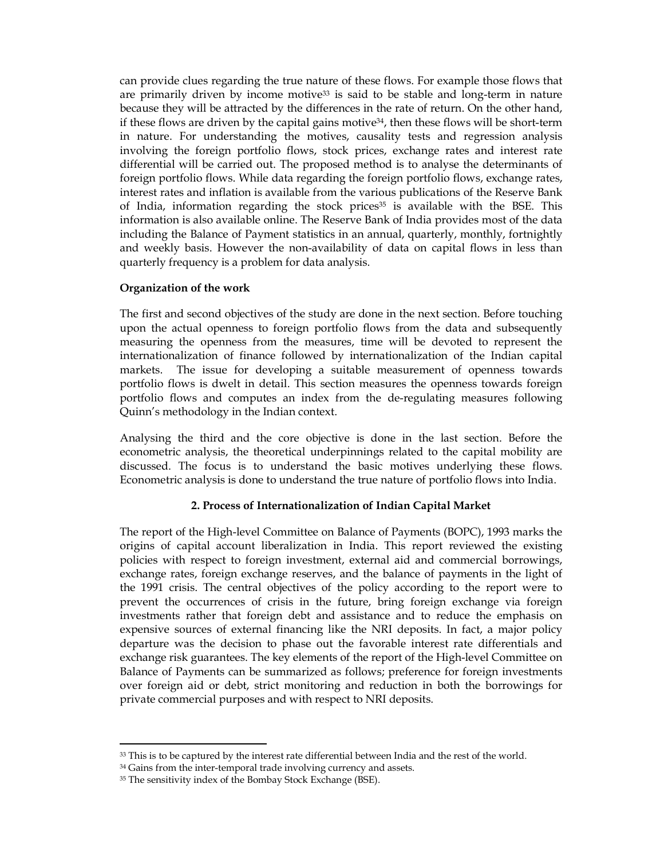can provide clues regarding the true nature of these flows. For example those flows that are primarily driven by income motive<sup>33</sup> is said to be stable and long-term in nature because they will be attracted by the differences in the rate of return. On the other hand, if these flows are driven by the capital gains motive<sup>34</sup>, then these flows will be short-term in nature. For understanding the motives, causality tests and regression analysis involving the foreign portfolio flows, stock prices, exchange rates and interest rate differential will be carried out. The proposed method is to analyse the determinants of foreign portfolio flows. While data regarding the foreign portfolio flows, exchange rates, interest rates and inflation is available from the various publications of the Reserve Bank of India, information regarding the stock prices<sup>35</sup> is available with the BSE. This information is also available online. The Reserve Bank of India provides most of the data including the Balance of Payment statistics in an annual, quarterly, monthly, fortnightly and weekly basis. However the non-availability of data on capital flows in less than quarterly frequency is a problem for data analysis.

## Organization of the work

The first and second objectives of the study are done in the next section. Before touching upon the actual openness to foreign portfolio flows from the data and subsequently measuring the openness from the measures, time will be devoted to represent the internationalization of finance followed by internationalization of the Indian capital markets. The issue for developing a suitable measurement of openness towards portfolio flows is dwelt in detail. This section measures the openness towards foreign portfolio flows and computes an index from the de-regulating measures following Quinn's methodology in the Indian context.

Analysing the third and the core objective is done in the last section. Before the econometric analysis, the theoretical underpinnings related to the capital mobility are discussed. The focus is to understand the basic motives underlying these flows. Econometric analysis is done to understand the true nature of portfolio flows into India.

## 2. Process of Internationalization of Indian Capital Market

The report of the High-level Committee on Balance of Payments (BOPC), 1993 marks the origins of capital account liberalization in India. This report reviewed the existing policies with respect to foreign investment, external aid and commercial borrowings, exchange rates, foreign exchange reserves, and the balance of payments in the light of the 1991 crisis. The central objectives of the policy according to the report were to prevent the occurrences of crisis in the future, bring foreign exchange via foreign investments rather that foreign debt and assistance and to reduce the emphasis on expensive sources of external financing like the NRI deposits. In fact, a major policy departure was the decision to phase out the favorable interest rate differentials and exchange risk guarantees. The key elements of the report of the High-level Committee on Balance of Payments can be summarized as follows; preference for foreign investments over foreign aid or debt, strict monitoring and reduction in both the borrowings for private commercial purposes and with respect to NRI deposits.

<sup>&</sup>lt;sup>33</sup> This is to be captured by the interest rate differential between India and the rest of the world.

<sup>&</sup>lt;sup>34</sup> Gains from the inter-temporal trade involving currency and assets.

<sup>&</sup>lt;sup>35</sup> The sensitivity index of the Bombay Stock Exchange (BSE).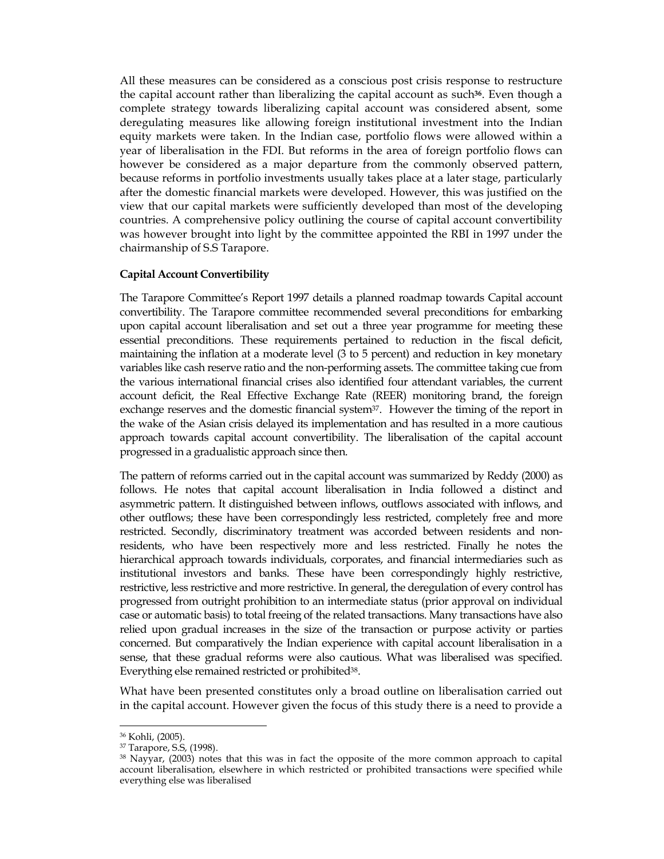All these measures can be considered as a conscious post crisis response to restructure the capital account rather than liberalizing the capital account as such<sup>36</sup>. Even though a complete strategy towards liberalizing capital account was considered absent, some deregulating measures like allowing foreign institutional investment into the Indian equity markets were taken. In the Indian case, portfolio flows were allowed within a year of liberalisation in the FDI. But reforms in the area of foreign portfolio flows can however be considered as a major departure from the commonly observed pattern, because reforms in portfolio investments usually takes place at a later stage, particularly after the domestic financial markets were developed. However, this was justified on the view that our capital markets were sufficiently developed than most of the developing countries. A comprehensive policy outlining the course of capital account convertibility was however brought into light by the committee appointed the RBI in 1997 under the chairmanship of S.S Tarapore.

## Capital Account Convertibility

The Tarapore Committee's Report 1997 details a planned roadmap towards Capital account convertibility. The Tarapore committee recommended several preconditions for embarking upon capital account liberalisation and set out a three year programme for meeting these essential preconditions. These requirements pertained to reduction in the fiscal deficit, maintaining the inflation at a moderate level (3 to 5 percent) and reduction in key monetary variables like cash reserve ratio and the non-performing assets. The committee taking cue from the various international financial crises also identified four attendant variables, the current account deficit, the Real Effective Exchange Rate (REER) monitoring brand, the foreign exchange reserves and the domestic financial system<sup>37</sup>. However the timing of the report in the wake of the Asian crisis delayed its implementation and has resulted in a more cautious approach towards capital account convertibility. The liberalisation of the capital account progressed in a gradualistic approach since then.

The pattern of reforms carried out in the capital account was summarized by Reddy (2000) as follows. He notes that capital account liberalisation in India followed a distinct and asymmetric pattern. It distinguished between inflows, outflows associated with inflows, and other outflows; these have been correspondingly less restricted, completely free and more restricted. Secondly, discriminatory treatment was accorded between residents and nonresidents, who have been respectively more and less restricted. Finally he notes the hierarchical approach towards individuals, corporates, and financial intermediaries such as institutional investors and banks. These have been correspondingly highly restrictive, restrictive, less restrictive and more restrictive. In general, the deregulation of every control has progressed from outright prohibition to an intermediate status (prior approval on individual case or automatic basis) to total freeing of the related transactions. Many transactions have also relied upon gradual increases in the size of the transaction or purpose activity or parties concerned. But comparatively the Indian experience with capital account liberalisation in a sense, that these gradual reforms were also cautious. What was liberalised was specified. Everything else remained restricted or prohibited<sup>38</sup>.

What have been presented constitutes only a broad outline on liberalisation carried out in the capital account. However given the focus of this study there is a need to provide a

<sup>36</sup> Kohli, (2005).

<sup>37</sup> Tarapore, S.S, (1998).

<sup>38</sup> Nayyar, (2003) notes that this was in fact the opposite of the more common approach to capital account liberalisation, elsewhere in which restricted or prohibited transactions were specified while everything else was liberalised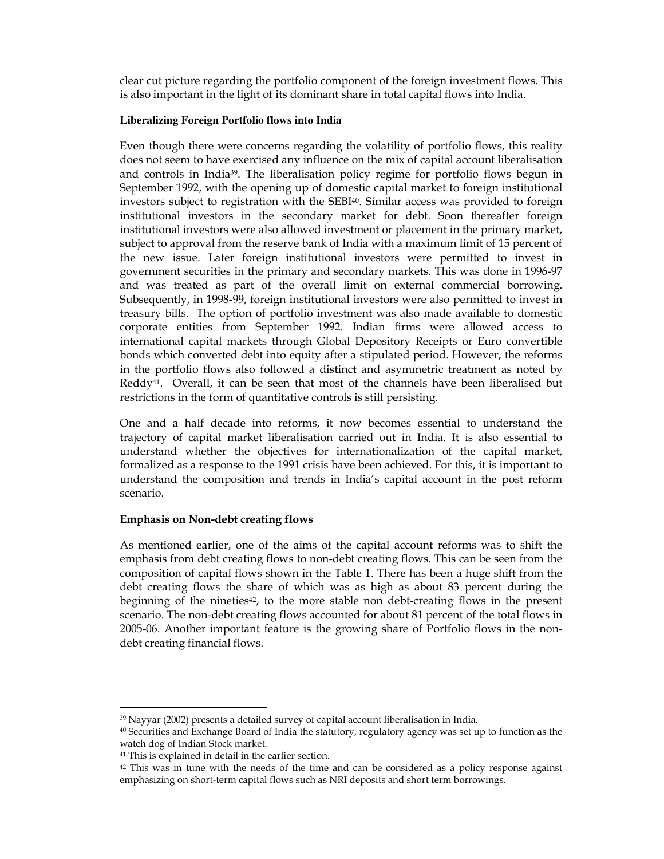clear cut picture regarding the portfolio component of the foreign investment flows. This is also important in the light of its dominant share in total capital flows into India.

## **Liberalizing Foreign Portfolio flows into India**

Even though there were concerns regarding the volatility of portfolio flows, this reality does not seem to have exercised any influence on the mix of capital account liberalisation and controls in India39. The liberalisation policy regime for portfolio flows begun in September 1992, with the opening up of domestic capital market to foreign institutional investors subject to registration with the SEBI40. Similar access was provided to foreign institutional investors in the secondary market for debt. Soon thereafter foreign institutional investors were also allowed investment or placement in the primary market, subject to approval from the reserve bank of India with a maximum limit of 15 percent of the new issue. Later foreign institutional investors were permitted to invest in government securities in the primary and secondary markets. This was done in 1996-97 and was treated as part of the overall limit on external commercial borrowing. Subsequently, in 1998-99, foreign institutional investors were also permitted to invest in treasury bills. The option of portfolio investment was also made available to domestic corporate entities from September 1992. Indian firms were allowed access to international capital markets through Global Depository Receipts or Euro convertible bonds which converted debt into equity after a stipulated period. However, the reforms in the portfolio flows also followed a distinct and asymmetric treatment as noted by Reddy<sup>41</sup>. Overall, it can be seen that most of the channels have been liberalised but restrictions in the form of quantitative controls is still persisting.

One and a half decade into reforms, it now becomes essential to understand the trajectory of capital market liberalisation carried out in India. It is also essential to understand whether the objectives for internationalization of the capital market, formalized as a response to the 1991 crisis have been achieved. For this, it is important to understand the composition and trends in India's capital account in the post reform scenario.

## Emphasis on Non-debt creating flows

As mentioned earlier, one of the aims of the capital account reforms was to shift the emphasis from debt creating flows to non-debt creating flows. This can be seen from the composition of capital flows shown in the Table 1. There has been a huge shift from the debt creating flows the share of which was as high as about 83 percent during the beginning of the nineties $42$ , to the more stable non debt-creating flows in the present scenario. The non-debt creating flows accounted for about 81 percent of the total flows in 2005-06. Another important feature is the growing share of Portfolio flows in the nondebt creating financial flows.

<sup>39</sup> Nayyar (2002) presents a detailed survey of capital account liberalisation in India.

<sup>40</sup> Securities and Exchange Board of India the statutory, regulatory agency was set up to function as the watch dog of Indian Stock market.

<sup>41</sup> This is explained in detail in the earlier section.

 $42$  This was in tune with the needs of the time and can be considered as a policy response against emphasizing on short-term capital flows such as NRI deposits and short term borrowings.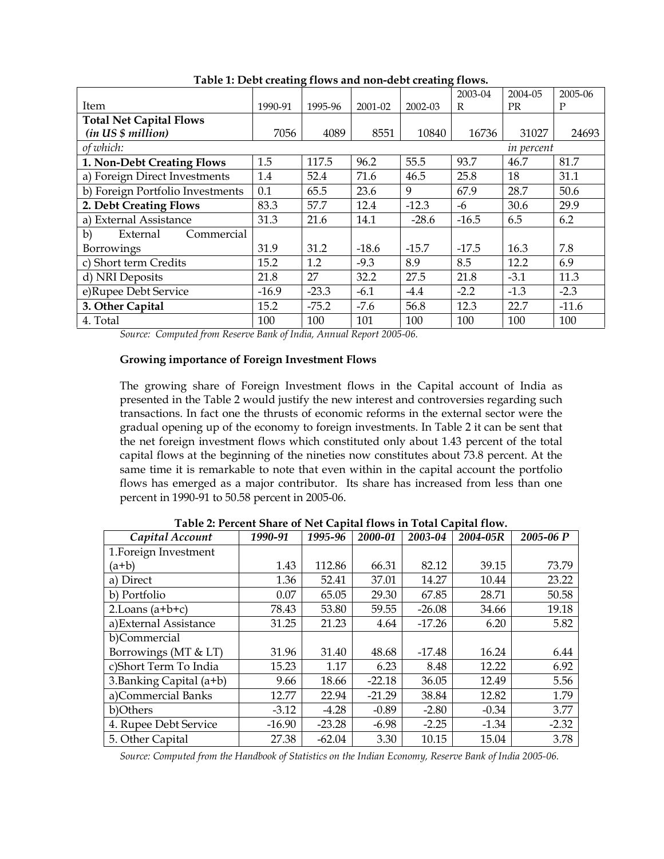|                                  |         |         |         |         | 2003-04 | 2004-05    | 2005-06 |
|----------------------------------|---------|---------|---------|---------|---------|------------|---------|
| Item                             | 1990-91 | 1995-96 | 2001-02 | 2002-03 | R       | <b>PR</b>  | P       |
| <b>Total Net Capital Flows</b>   |         |         |         |         |         |            |         |
| (in US \$ million)               | 7056    | 4089    | 8551    | 10840   | 16736   | 31027      | 24693   |
| of which:                        |         |         |         |         |         | in percent |         |
| 1. Non-Debt Creating Flows       | 1.5     | 117.5   | 96.2    | 55.5    | 93.7    | 46.7       | 81.7    |
| a) Foreign Direct Investments    | 1.4     | 52.4    | 71.6    | 46.5    | 25.8    | 18         | 31.1    |
| b) Foreign Portfolio Investments | 0.1     | 65.5    | 23.6    | 9       | 67.9    | 28.7       | 50.6    |
| 2. Debt Creating Flows           | 83.3    | 57.7    | 12.4    | $-12.3$ | -6      | 30.6       | 29.9    |
| a) External Assistance           | 31.3    | 21.6    | 14.1    | $-28.6$ | $-16.5$ | 6.5        | 6.2     |
| b)<br>External<br>Commercial     |         |         |         |         |         |            |         |
| Borrowings                       | 31.9    | 31.2    | $-18.6$ | $-15.7$ | $-17.5$ | 16.3       | 7.8     |
| c) Short term Credits            | 15.2    | 1.2     | $-9.3$  | 8.9     | 8.5     | 12.2       | 6.9     |
| d) NRI Deposits                  | 21.8    | 27      | 32.2    | 27.5    | 21.8    | $-3.1$     | 11.3    |
| e)Rupee Debt Service             | $-16.9$ | $-23.3$ | $-6.1$  | $-4.4$  | $-2.2$  | $-1.3$     | $-2.3$  |
| 3. Other Capital                 | 15.2    | $-75.2$ | $-7.6$  | 56.8    | 12.3    | 22.7       | $-11.6$ |
| 4. Total                         | 100     | 100     | 101     | 100     | 100     | 100        | 100     |

Table 1: Debt creating flows and non-debt creating flows.

Source: Computed from Reserve Bank of India, Annual Report 2005-06.

## Growing importance of Foreign Investment Flows

The growing share of Foreign Investment flows in the Capital account of India as presented in the Table 2 would justify the new interest and controversies regarding such transactions. In fact one the thrusts of economic reforms in the external sector were the gradual opening up of the economy to foreign investments. In Table 2 it can be sent that the net foreign investment flows which constituted only about 1.43 percent of the total capital flows at the beginning of the nineties now constitutes about 73.8 percent. At the same time it is remarkable to note that even within in the capital account the portfolio flows has emerged as a major contributor. Its share has increased from less than one percent in 1990-91 to 50.58 percent in 2005-06.

| Capital Account          | 1990-91  | 1995-96  | 2000-01  | 2003-04  | 2004-05R | 2005-06 P |
|--------------------------|----------|----------|----------|----------|----------|-----------|
| 1. Foreign Investment    |          |          |          |          |          |           |
| $(a+b)$                  | 1.43     | 112.86   | 66.31    | 82.12    | 39.15    | 73.79     |
| a) Direct                | 1.36     | 52.41    | 37.01    | 14.27    | 10.44    | 23.22     |
| b) Portfolio             | 0.07     | 65.05    | 29.30    | 67.85    | 28.71    | 50.58     |
| 2. Loans $(a+b+c)$       | 78.43    | 53.80    | 59.55    | $-26.08$ | 34.66    | 19.18     |
| a) External Assistance   | 31.25    | 21.23    | 4.64     | $-17.26$ | 6.20     | 5.82      |
| b)Commercial             |          |          |          |          |          |           |
| Borrowings (MT & LT)     | 31.96    | 31.40    | 48.68    | $-17.48$ | 16.24    | 6.44      |
| c)Short Term To India    | 15.23    | 1.17     | 6.23     | 8.48     | 12.22    | 6.92      |
| 3. Banking Capital (a+b) | 9.66     | 18.66    | $-22.18$ | 36.05    | 12.49    | 5.56      |
| a)Commercial Banks       | 12.77    | 22.94    | $-21.29$ | 38.84    | 12.82    | 1.79      |
| b)Others                 | $-3.12$  | $-4.28$  | $-0.89$  | $-2.80$  | $-0.34$  | 3.77      |
| 4. Rupee Debt Service    | $-16.90$ | $-23.28$ | $-6.98$  | $-2.25$  | $-1.34$  | $-2.32$   |
| 5. Other Capital         | 27.38    | $-62.04$ | 3.30     | 10.15    | 15.04    | 3.78      |

Table 2: Percent Share of Net Capital flows in Total Capital flow.

Source: Computed from the Handbook of Statistics on the Indian Economy, Reserve Bank of India 2005-06.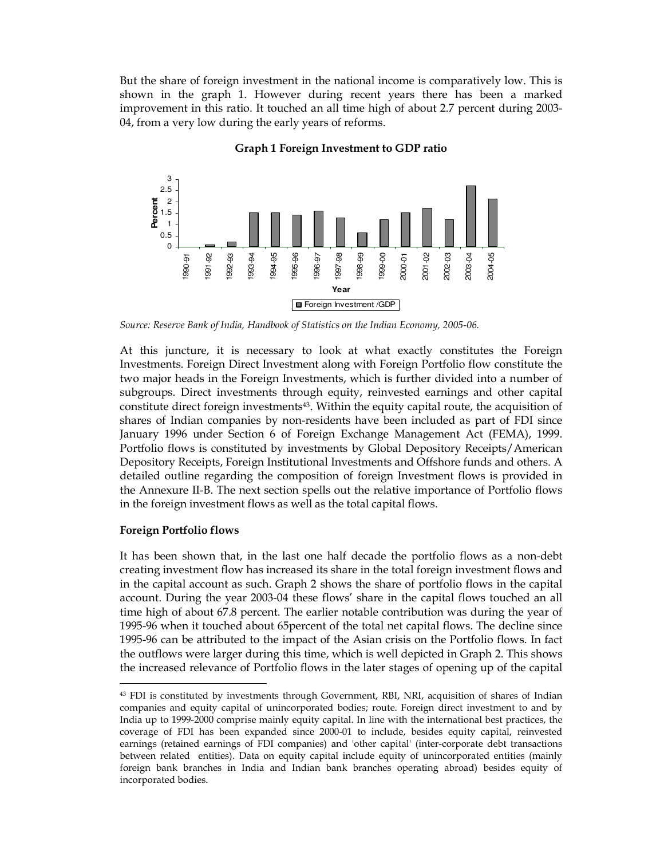But the share of foreign investment in the national income is comparatively low. This is shown in the graph 1. However during recent years there has been a marked improvement in this ratio. It touched an all time high of about 2.7 percent during 2003- 04, from a very low during the early years of reforms.



### Graph 1 Foreign Investment to GDP ratio

Source: Reserve Bank of India, Handbook of Statistics on the Indian Economy, 2005-06.

At this juncture, it is necessary to look at what exactly constitutes the Foreign Investments. Foreign Direct Investment along with Foreign Portfolio flow constitute the two major heads in the Foreign Investments, which is further divided into a number of subgroups. Direct investments through equity, reinvested earnings and other capital constitute direct foreign investments43. Within the equity capital route, the acquisition of shares of Indian companies by non-residents have been included as part of FDI since January 1996 under Section 6 of Foreign Exchange Management Act (FEMA), 1999. Portfolio flows is constituted by investments by Global Depository Receipts/American Depository Receipts, Foreign Institutional Investments and Offshore funds and others. A detailed outline regarding the composition of foreign Investment flows is provided in the Annexure II-B. The next section spells out the relative importance of Portfolio flows in the foreign investment flows as well as the total capital flows.

## Foreign Portfolio flows

-

It has been shown that, in the last one half decade the portfolio flows as a non-debt creating investment flow has increased its share in the total foreign investment flows and in the capital account as such. Graph 2 shows the share of portfolio flows in the capital account. During the year 2003-04 these flows' share in the capital flows touched an all time high of about 67.8 percent. The earlier notable contribution was during the year of 1995-96 when it touched about 65percent of the total net capital flows. The decline since 1995-96 can be attributed to the impact of the Asian crisis on the Portfolio flows. In fact the outflows were larger during this time, which is well depicted in Graph 2. This shows the increased relevance of Portfolio flows in the later stages of opening up of the capital

<sup>43</sup> FDI is constituted by investments through Government, RBI, NRI, acquisition of shares of Indian companies and equity capital of unincorporated bodies; route. Foreign direct investment to and by India up to 1999-2000 comprise mainly equity capital. In line with the international best practices, the coverage of FDI has been expanded since 2000-01 to include, besides equity capital, reinvested earnings (retained earnings of FDI companies) and 'other capital' (inter-corporate debt transactions between related entities). Data on equity capital include equity of unincorporated entities (mainly foreign bank branches in India and Indian bank branches operating abroad) besides equity of incorporated bodies.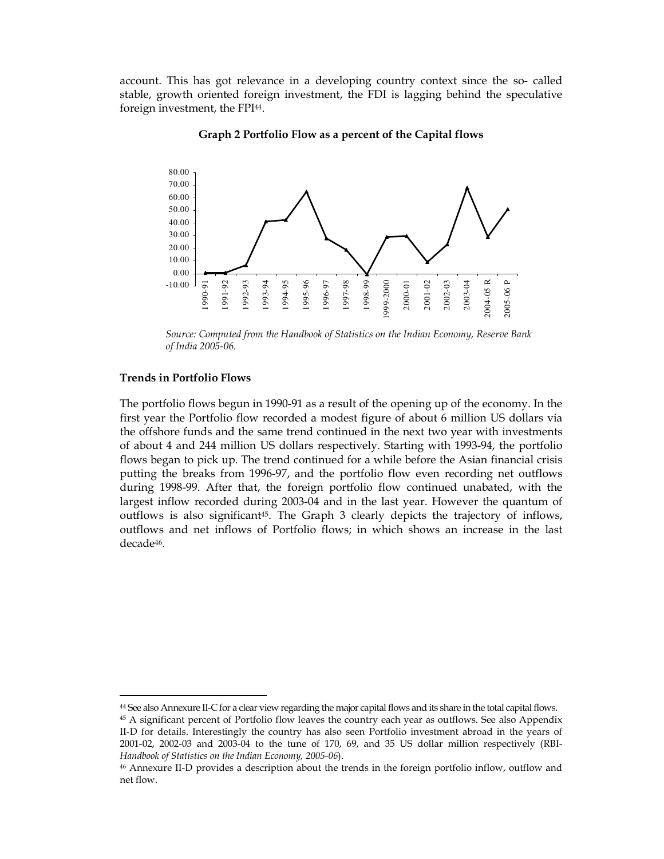account. This has got relevance in a developing country context since the so- called stable, growth oriented foreign investment, the FDI is lagging behind the speculative foreign investment, the FPI<sup>44</sup>.



Graph 2 Portfolio Flow as a percent of the Capital flows

#### Trends in Portfolio Flows

-

The portfolio flows begun in 1990-91 as a result of the opening up of the economy. In the first year the Portfolio flow recorded a modest figure of about 6 million US dollars via the offshore funds and the same trend continued in the next two year with investments of about 4 and 244 million US dollars respectively. Starting with 1993-94, the portfolio flows began to pick up. The trend continued for a while before the Asian financial crisis putting the breaks from 1996-97, and the portfolio flow even recording net outflows during 1998-99. After that, the foreign portfolio flow continued unabated, with the largest inflow recorded during 2003-04 and in the last year. However the quantum of outflows is also significant $45$ . The Graph 3 clearly depicts the trajectory of inflows, outflows and net inflows of Portfolio flows; in which shows an increase in the last decade46.

Source: Computed from the Handbook of Statistics on the Indian Economy, Reserve Bank of India 2005-06.

<sup>44</sup> See also Annexure II-C for a clear view regarding the major capital flows and its share in the total capital flows.

<sup>45</sup> A significant percent of Portfolio flow leaves the country each year as outflows. See also Appendix II-D for details. Interestingly the country has also seen Portfolio investment abroad in the years of 2001-02, 2002-03 and 2003-04 to the tune of 170, 69, and 35 US dollar million respectively (RBI-Handbook of Statistics on the Indian Economy, 2005-06).

<sup>46</sup> Annexure II-D provides a description about the trends in the foreign portfolio inflow, outflow and net flow.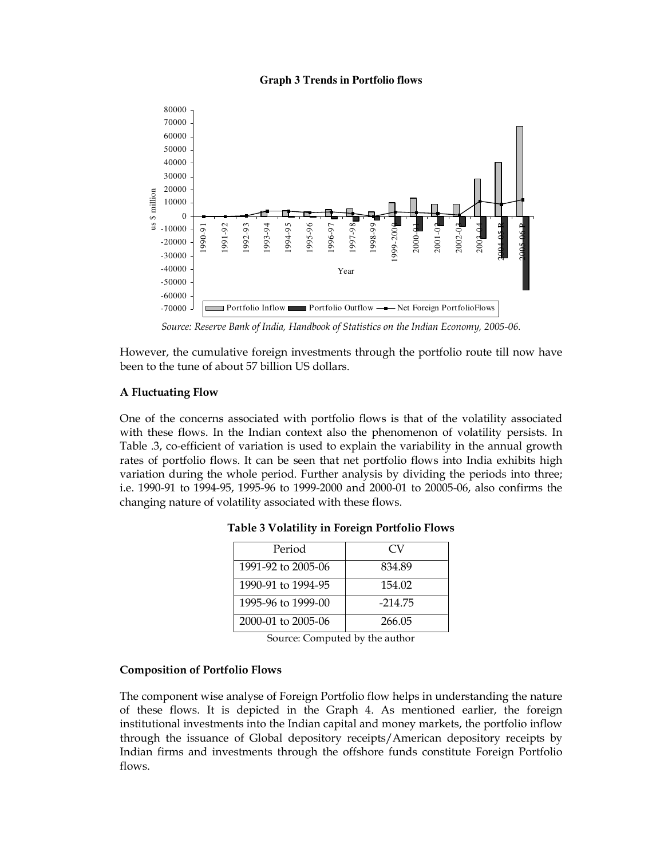#### **Graph 3 Trends in Portfolio flows**



Source: Reserve Bank of India, Handbook of Statistics on the Indian Economy, 2005-06.

However, the cumulative foreign investments through the portfolio route till now have been to the tune of about 57 billion US dollars.

## A Fluctuating Flow

One of the concerns associated with portfolio flows is that of the volatility associated with these flows. In the Indian context also the phenomenon of volatility persists. In Table .3, co-efficient of variation is used to explain the variability in the annual growth rates of portfolio flows. It can be seen that net portfolio flows into India exhibits high variation during the whole period. Further analysis by dividing the periods into three; i.e. 1990-91 to 1994-95, 1995-96 to 1999-2000 and 2000-01 to 20005-06, also confirms the changing nature of volatility associated with these flows.

| Period             | CV        |
|--------------------|-----------|
| 1991-92 to 2005-06 | 834.89    |
| 1990-91 to 1994-95 | 154.02    |
| 1995-96 to 1999-00 | $-214.75$ |
| 2000-01 to 2005-06 | 266.05    |

|  |  |  |  | Table 3 Volatility in Foreign Portfolio Flows |  |
|--|--|--|--|-----------------------------------------------|--|
|--|--|--|--|-----------------------------------------------|--|

Source: Computed by the author

## Composition of Portfolio Flows

The component wise analyse of Foreign Portfolio flow helps in understanding the nature of these flows. It is depicted in the Graph 4. As mentioned earlier, the foreign institutional investments into the Indian capital and money markets, the portfolio inflow through the issuance of Global depository receipts/American depository receipts by Indian firms and investments through the offshore funds constitute Foreign Portfolio flows.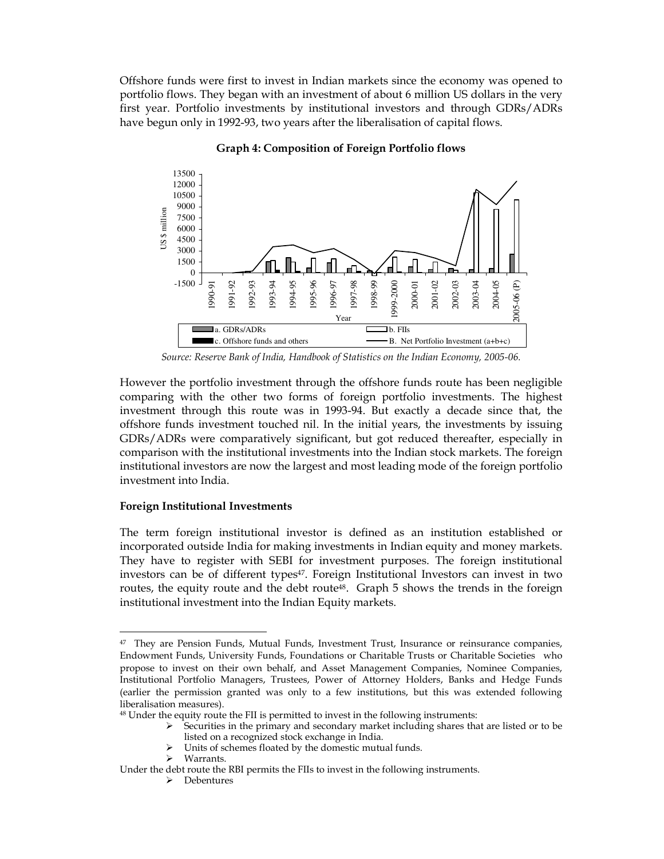Offshore funds were first to invest in Indian markets since the economy was opened to portfolio flows. They began with an investment of about 6 million US dollars in the very first year. Portfolio investments by institutional investors and through GDRs/ADRs have begun only in 1992-93, two years after the liberalisation of capital flows.



Graph 4: Composition of Foreign Portfolio flows

Source: Reserve Bank of India, Handbook of Statistics on the Indian Economy, 2005-06.

However the portfolio investment through the offshore funds route has been negligible comparing with the other two forms of foreign portfolio investments. The highest investment through this route was in 1993-94. But exactly a decade since that, the offshore funds investment touched nil. In the initial years, the investments by issuing GDRs/ADRs were comparatively significant, but got reduced thereafter, especially in comparison with the institutional investments into the Indian stock markets. The foreign institutional investors are now the largest and most leading mode of the foreign portfolio investment into India.

## Foreign Institutional Investments

The term foreign institutional investor is defined as an institution established or incorporated outside India for making investments in Indian equity and money markets. They have to register with SEBI for investment purposes. The foreign institutional investors can be of different types<sup>47</sup>. Foreign Institutional Investors can invest in two routes, the equity route and the debt route<sup>48</sup>. Graph 5 shows the trends in the foreign institutional investment into the Indian Equity markets.

Units of schemes floated by the domestic mutual funds.

 $47$  They are Pension Funds, Mutual Funds, Investment Trust, Insurance or reinsurance companies, Endowment Funds, University Funds, Foundations or Charitable Trusts or Charitable Societies who propose to invest on their own behalf, and Asset Management Companies, Nominee Companies, Institutional Portfolio Managers, Trustees, Power of Attorney Holders, Banks and Hedge Funds (earlier the permission granted was only to a few institutions, but this was extended following liberalisation measures).

<sup>48</sup> Under the equity route the FII is permitted to invest in the following instruments:

Securities in the primary and secondary market including shares that are listed or to be listed on a recognized stock exchange in India.

Warrants.

Under the debt route the RBI permits the FIIs to invest in the following instruments.

<sup>&</sup>gt; Debentures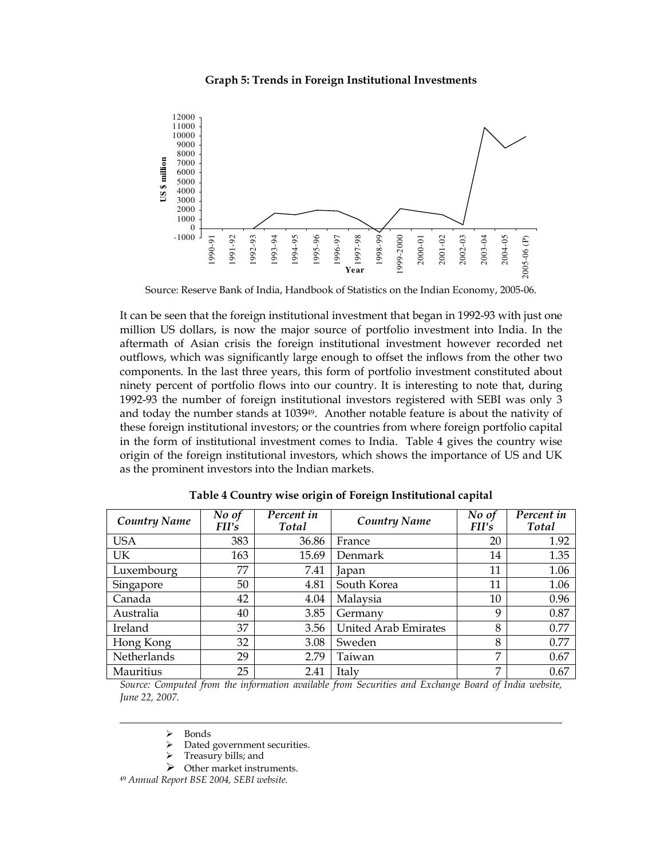#### Graph 5: Trends in Foreign Institutional Investments



Source: Reserve Bank of India, Handbook of Statistics on the Indian Economy, 2005-06.

It can be seen that the foreign institutional investment that began in 1992-93 with just one million US dollars, is now the major source of portfolio investment into India. In the aftermath of Asian crisis the foreign institutional investment however recorded net outflows, which was significantly large enough to offset the inflows from the other two components. In the last three years, this form of portfolio investment constituted about ninety percent of portfolio flows into our country. It is interesting to note that, during 1992-93 the number of foreign institutional investors registered with SEBI was only 3 and today the number stands at 103949. Another notable feature is about the nativity of these foreign institutional investors; or the countries from where foreign portfolio capital in the form of institutional investment comes to India. Table 4 gives the country wise origin of the foreign institutional investors, which shows the importance of US and UK as the prominent investors into the Indian markets.

| <b>Country Name</b> | No of<br>FII's | Percent in<br><b>Total</b> | Country Name                | No of<br>FII's | Percent in<br>Total |
|---------------------|----------------|----------------------------|-----------------------------|----------------|---------------------|
| <b>USA</b>          | 383            | 36.86                      | France                      | 20             | 1.92                |
| UK                  | 163            | 15.69                      | Denmark                     | 14             | 1.35                |
| Luxembourg          | 77             | 7.41                       | Japan                       | 11             | 1.06                |
| Singapore           | 50             | 4.81                       | South Korea                 | 11             | 1.06                |
| Canada              | 42             | 4.04                       | Malaysia                    | 10             | 0.96                |
| Australia           | 40             | 3.85                       | Germany                     | 9              | 0.87                |
| Ireland             | 37             | 3.56                       | <b>United Arab Emirates</b> | 8              | 0.77                |
| Hong Kong           | 32             | 3.08                       | Sweden                      | 8              | 0.77                |
| Netherlands         | 29             | 2.79                       | Taiwan                      | 7              | 0.67                |
| Mauritius           | 25             | 2.41                       | Italy                       | 7              | 0.67                |

Table 4 Country wise origin of Foreign Institutional capital

Source: Computed from the information available from Securities and Exchange Board of India website, June 22, 2007.

 $\triangleright$  Bonds<br> $\triangleright$  Dated

-

- Dated government securities.
- Treasury bills; and
- $\triangleright$  Other market instruments.

<sup>49</sup> Annual Report BSE 2004, SEBI website.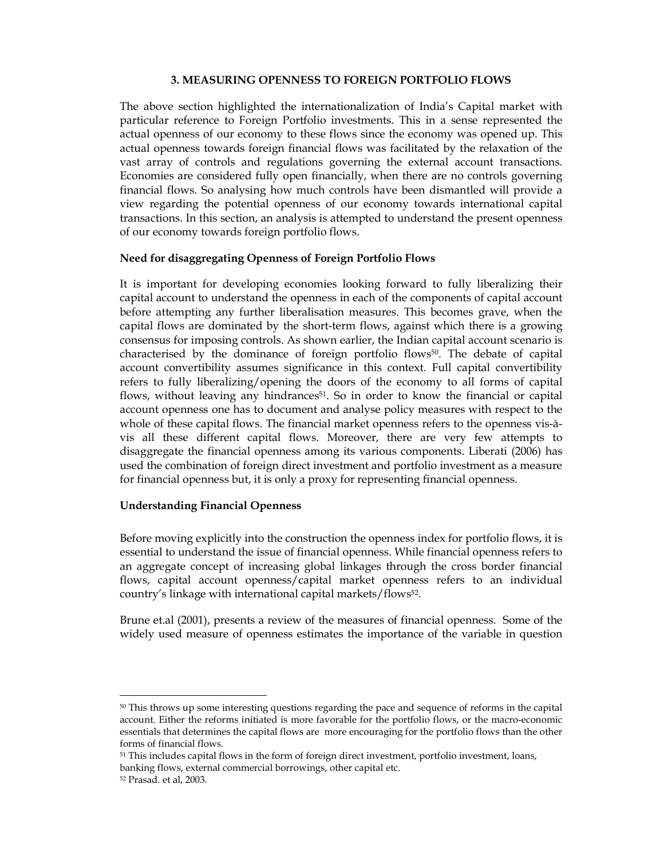## 3. MEASURING OPENNESS TO FOREIGN PORTFOLIO FLOWS

The above section highlighted the internationalization of India's Capital market with particular reference to Foreign Portfolio investments. This in a sense represented the actual openness of our economy to these flows since the economy was opened up. This actual openness towards foreign financial flows was facilitated by the relaxation of the vast array of controls and regulations governing the external account transactions. Economies are considered fully open financially, when there are no controls governing financial flows. So analysing how much controls have been dismantled will provide a view regarding the potential openness of our economy towards international capital transactions. In this section, an analysis is attempted to understand the present openness of our economy towards foreign portfolio flows.

## Need for disaggregating Openness of Foreign Portfolio Flows

It is important for developing economies looking forward to fully liberalizing their capital account to understand the openness in each of the components of capital account before attempting any further liberalisation measures. This becomes grave, when the capital flows are dominated by the short-term flows, against which there is a growing consensus for imposing controls. As shown earlier, the Indian capital account scenario is characterised by the dominance of foreign portfolio flows50. The debate of capital account convertibility assumes significance in this context. Full capital convertibility refers to fully liberalizing/opening the doors of the economy to all forms of capital flows, without leaving any hindrances<sup>51</sup>. So in order to know the financial or capital account openness one has to document and analyse policy measures with respect to the whole of these capital flows. The financial market openness refers to the openness vis-àvis all these different capital flows. Moreover, there are very few attempts to disaggregate the financial openness among its various components. Liberati (2006) has used the combination of foreign direct investment and portfolio investment as a measure for financial openness but, it is only a proxy for representing financial openness.

## Understanding Financial Openness

Before moving explicitly into the construction the openness index for portfolio flows, it is essential to understand the issue of financial openness. While financial openness refers to an aggregate concept of increasing global linkages through the cross border financial flows, capital account openness/capital market openness refers to an individual country's linkage with international capital markets/flows52.

Brune et.al (2001), presents a review of the measures of financial openness. Some of the widely used measure of openness estimates the importance of the variable in question

<sup>&</sup>lt;sup>50</sup> This throws up some interesting questions regarding the pace and sequence of reforms in the capital account. Either the reforms initiated is more favorable for the portfolio flows, or the macro-economic essentials that determines the capital flows are more encouraging for the portfolio flows than the other forms of financial flows.

<sup>&</sup>lt;sup>51</sup> This includes capital flows in the form of foreign direct investment, portfolio investment, loans, banking flows, external commercial borrowings, other capital etc.

<sup>52</sup> Prasad. et al, 2003.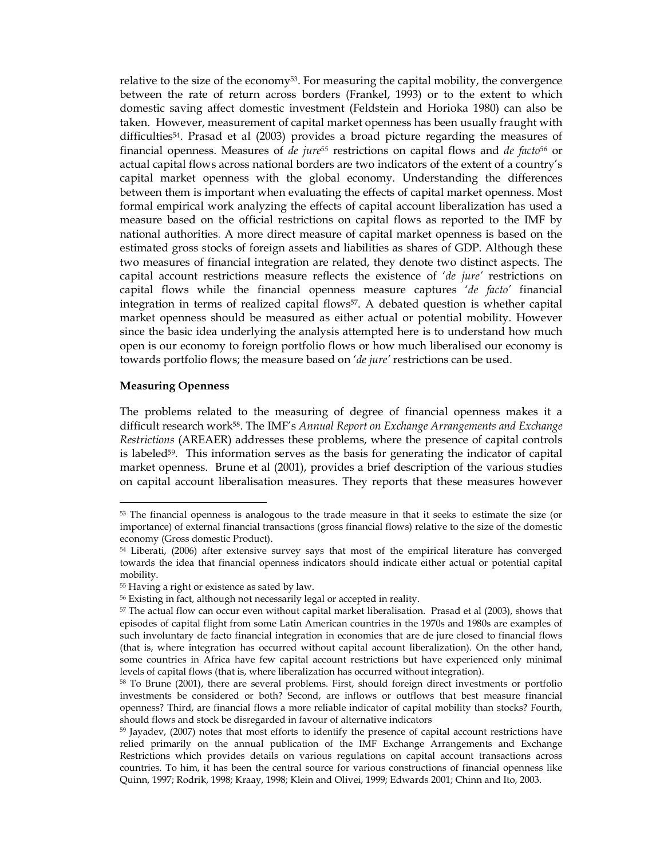relative to the size of the economy<sup>53</sup>. For measuring the capital mobility, the convergence between the rate of return across borders (Frankel, 1993) or to the extent to which domestic saving affect domestic investment (Feldstein and Horioka 1980) can also be taken. However, measurement of capital market openness has been usually fraught with difficulties54. Prasad et al (2003) provides a broad picture regarding the measures of financial openness. Measures of de jure<sup>55</sup> restrictions on capital flows and de facto<sup>56</sup> or actual capital flows across national borders are two indicators of the extent of a country's capital market openness with the global economy. Understanding the differences between them is important when evaluating the effects of capital market openness. Most formal empirical work analyzing the effects of capital account liberalization has used a measure based on the official restrictions on capital flows as reported to the IMF by national authorities. A more direct measure of capital market openness is based on the estimated gross stocks of foreign assets and liabilities as shares of GDP. Although these two measures of financial integration are related, they denote two distinct aspects. The capital account restrictions measure reflects the existence of 'de jure' restrictions on capital flows while the financial openness measure captures  $'de$  facto' financial integration in terms of realized capital flows<sup>57</sup>. A debated question is whether capital market openness should be measured as either actual or potential mobility. However since the basic idea underlying the analysis attempted here is to understand how much open is our economy to foreign portfolio flows or how much liberalised our economy is towards portfolio flows; the measure based on 'de jure' restrictions can be used.

#### Measuring Openness

-

The problems related to the measuring of degree of financial openness makes it a difficult research work<sup>58</sup>. The IMF's Annual Report on Exchange Arrangements and Exchange Restrictions (AREAER) addresses these problems, where the presence of capital controls is labeled<sup>59</sup>. This information serves as the basis for generating the indicator of capital market openness. Brune et al (2001), provides a brief description of the various studies on capital account liberalisation measures. They reports that these measures however

<sup>&</sup>lt;sup>53</sup> The financial openness is analogous to the trade measure in that it seeks to estimate the size (or importance) of external financial transactions (gross financial flows) relative to the size of the domestic economy (Gross domestic Product).

<sup>&</sup>lt;sup>54</sup> Liberati, (2006) after extensive survey says that most of the empirical literature has converged towards the idea that financial openness indicators should indicate either actual or potential capital mobility.

<sup>55</sup> Having a right or existence as sated by law.

<sup>56</sup> Existing in fact, although not necessarily legal or accepted in reality.

<sup>57</sup> The actual flow can occur even without capital market liberalisation. Prasad et al (2003), shows that episodes of capital flight from some Latin American countries in the 1970s and 1980s are examples of such involuntary de facto financial integration in economies that are de jure closed to financial flows (that is, where integration has occurred without capital account liberalization). On the other hand, some countries in Africa have few capital account restrictions but have experienced only minimal levels of capital flows (that is, where liberalization has occurred without integration).

<sup>58</sup> To Brune (2001), there are several problems. First, should foreign direct investments or portfolio investments be considered or both? Second, are inflows or outflows that best measure financial openness? Third, are financial flows a more reliable indicator of capital mobility than stocks? Fourth, should flows and stock be disregarded in favour of alternative indicators

<sup>59</sup> Jayadev, (2007) notes that most efforts to identify the presence of capital account restrictions have relied primarily on the annual publication of the IMF Exchange Arrangements and Exchange Restrictions which provides details on various regulations on capital account transactions across countries. To him, it has been the central source for various constructions of financial openness like Quinn, 1997; Rodrik, 1998; Kraay, 1998; Klein and Olivei, 1999; Edwards 2001; Chinn and Ito, 2003.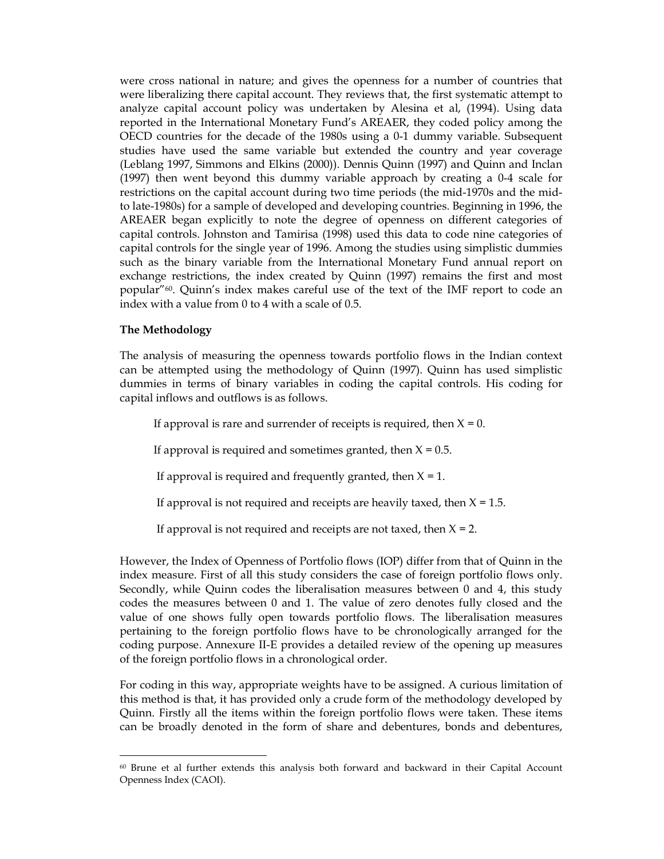were cross national in nature; and gives the openness for a number of countries that were liberalizing there capital account. They reviews that, the first systematic attempt to analyze capital account policy was undertaken by Alesina et al, (1994). Using data reported in the International Monetary Fund's AREAER, they coded policy among the OECD countries for the decade of the 1980s using a 0-1 dummy variable. Subsequent studies have used the same variable but extended the country and year coverage (Leblang 1997, Simmons and Elkins (2000)). Dennis Quinn (1997) and Quinn and Inclan (1997) then went beyond this dummy variable approach by creating a 0-4 scale for restrictions on the capital account during two time periods (the mid-1970s and the midto late-1980s) for a sample of developed and developing countries. Beginning in 1996, the AREAER began explicitly to note the degree of openness on different categories of capital controls. Johnston and Tamirisa (1998) used this data to code nine categories of capital controls for the single year of 1996. Among the studies using simplistic dummies such as the binary variable from the International Monetary Fund annual report on exchange restrictions, the index created by Quinn (1997) remains the first and most popular"60. Quinn's index makes careful use of the text of the IMF report to code an index with a value from 0 to 4 with a scale of 0.5.

## The Methodology

-

The analysis of measuring the openness towards portfolio flows in the Indian context can be attempted using the methodology of Quinn (1997). Quinn has used simplistic dummies in terms of binary variables in coding the capital controls. His coding for capital inflows and outflows is as follows.

If approval is rare and surrender of receipts is required, then  $X = 0$ .

If approval is required and sometimes granted, then  $X = 0.5$ .

If approval is required and frequently granted, then  $X = 1$ .

If approval is not required and receipts are heavily taxed, then  $X = 1.5$ .

If approval is not required and receipts are not taxed, then  $X = 2$ .

However, the Index of Openness of Portfolio flows (IOP) differ from that of Quinn in the index measure. First of all this study considers the case of foreign portfolio flows only. Secondly, while Quinn codes the liberalisation measures between 0 and 4, this study codes the measures between 0 and 1. The value of zero denotes fully closed and the value of one shows fully open towards portfolio flows. The liberalisation measures pertaining to the foreign portfolio flows have to be chronologically arranged for the coding purpose. Annexure II-E provides a detailed review of the opening up measures of the foreign portfolio flows in a chronological order.

For coding in this way, appropriate weights have to be assigned. A curious limitation of this method is that, it has provided only a crude form of the methodology developed by Quinn. Firstly all the items within the foreign portfolio flows were taken. These items can be broadly denoted in the form of share and debentures, bonds and debentures,

 $60$  Brune et al further extends this analysis both forward and backward in their Capital Account Openness Index (CAOI).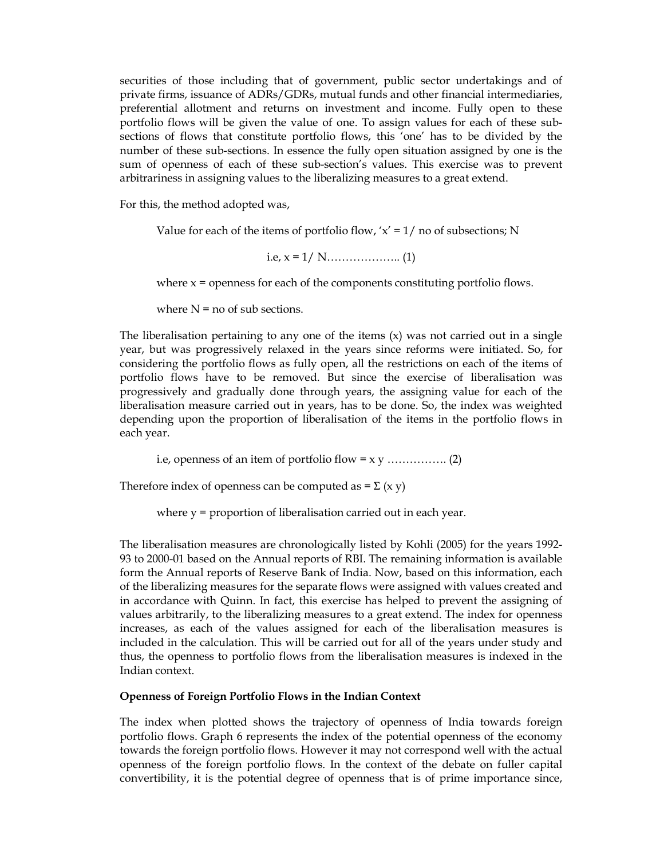securities of those including that of government, public sector undertakings and of private firms, issuance of ADRs/GDRs, mutual funds and other financial intermediaries, preferential allotment and returns on investment and income. Fully open to these portfolio flows will be given the value of one. To assign values for each of these subsections of flows that constitute portfolio flows, this 'one' has to be divided by the number of these sub-sections. In essence the fully open situation assigned by one is the sum of openness of each of these sub-section's values. This exercise was to prevent arbitrariness in assigning values to the liberalizing measures to a great extend.

For this, the method adopted was,

Value for each of the items of portfolio flow,  $x' = 1/$  no of subsections; N

i.e, x = 1/ N……………….. (1)

where  $x =$  openness for each of the components constituting portfolio flows.

where  $N =$  no of sub sections.

The liberalisation pertaining to any one of the items  $(x)$  was not carried out in a single year, but was progressively relaxed in the years since reforms were initiated. So, for considering the portfolio flows as fully open, all the restrictions on each of the items of portfolio flows have to be removed. But since the exercise of liberalisation was progressively and gradually done through years, the assigning value for each of the liberalisation measure carried out in years, has to be done. So, the index was weighted depending upon the proportion of liberalisation of the items in the portfolio flows in each year.

i.e, openness of an item of portfolio flow = x y ……………. (2)

Therefore index of openness can be computed as  $= \sum (x y)$ 

where  $y =$  proportion of liberalisation carried out in each year.

The liberalisation measures are chronologically listed by Kohli (2005) for the years 1992- 93 to 2000-01 based on the Annual reports of RBI. The remaining information is available form the Annual reports of Reserve Bank of India. Now, based on this information, each of the liberalizing measures for the separate flows were assigned with values created and in accordance with Quinn. In fact, this exercise has helped to prevent the assigning of values arbitrarily, to the liberalizing measures to a great extend. The index for openness increases, as each of the values assigned for each of the liberalisation measures is included in the calculation. This will be carried out for all of the years under study and thus, the openness to portfolio flows from the liberalisation measures is indexed in the Indian context.

## Openness of Foreign Portfolio Flows in the Indian Context

The index when plotted shows the trajectory of openness of India towards foreign portfolio flows. Graph 6 represents the index of the potential openness of the economy towards the foreign portfolio flows. However it may not correspond well with the actual openness of the foreign portfolio flows. In the context of the debate on fuller capital convertibility, it is the potential degree of openness that is of prime importance since,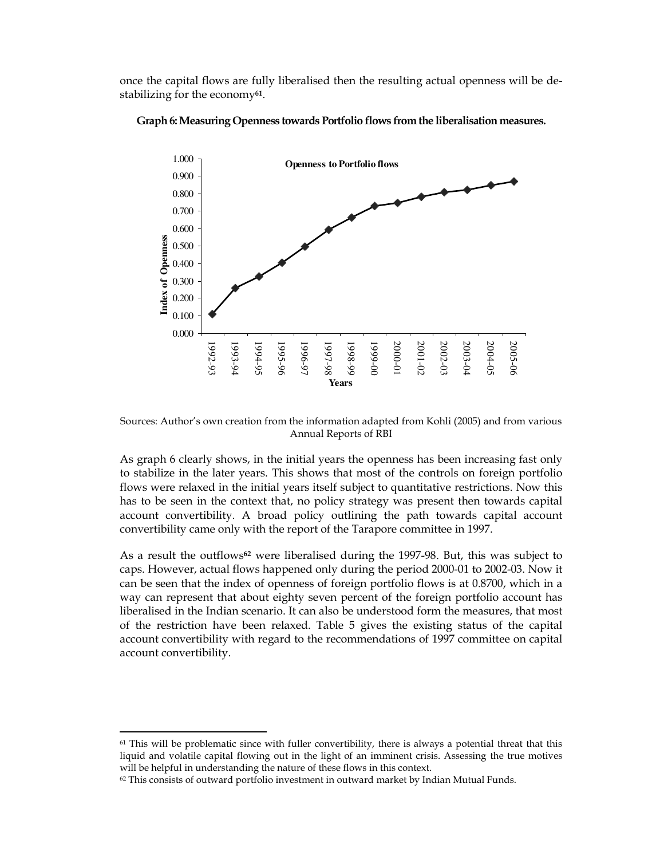once the capital flows are fully liberalised then the resulting actual openness will be destabilizing for the economy<sup>61</sup>.



Graph 6: Measuring Openness towards Portfolio flows from the liberalisation measures.

Sources: Author's own creation from the information adapted from Kohli (2005) and from various Annual Reports of RBI

As graph 6 clearly shows, in the initial years the openness has been increasing fast only to stabilize in the later years. This shows that most of the controls on foreign portfolio flows were relaxed in the initial years itself subject to quantitative restrictions. Now this has to be seen in the context that, no policy strategy was present then towards capital account convertibility. A broad policy outlining the path towards capital account convertibility came only with the report of the Tarapore committee in 1997.

As a result the outflows<sup>62</sup> were liberalised during the 1997-98. But, this was subject to caps. However, actual flows happened only during the period 2000-01 to 2002-03. Now it can be seen that the index of openness of foreign portfolio flows is at 0.8700, which in a way can represent that about eighty seven percent of the foreign portfolio account has liberalised in the Indian scenario. It can also be understood form the measures, that most of the restriction have been relaxed. Table 5 gives the existing status of the capital account convertibility with regard to the recommendations of 1997 committee on capital account convertibility.

 $61$  This will be problematic since with fuller convertibility, there is always a potential threat that this liquid and volatile capital flowing out in the light of an imminent crisis. Assessing the true motives will be helpful in understanding the nature of these flows in this context.

 $62$  This consists of outward portfolio investment in outward market by Indian Mutual Funds.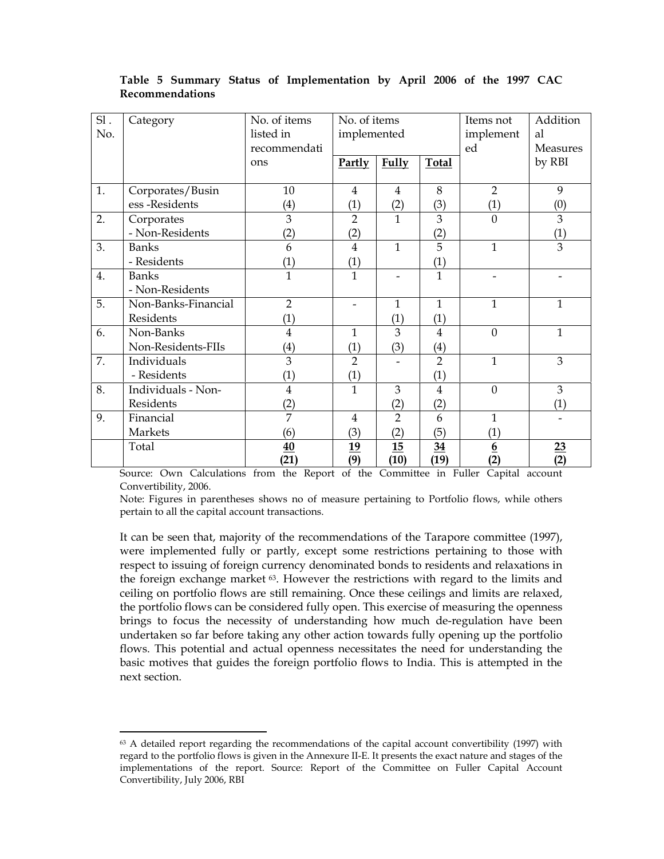| SI. | Category            | No. of items      | No. of items             |                | Items not         | Addition          |                |
|-----|---------------------|-------------------|--------------------------|----------------|-------------------|-------------------|----------------|
| No. |                     | listed in         | implemented              |                | implement         | al                |                |
|     |                     | recommendati      |                          |                |                   | ed                | Measures       |
|     |                     | ons               | Partly                   | <b>Fully</b>   | <b>Total</b>      |                   | by RBI         |
|     |                     |                   |                          |                |                   |                   |                |
| 1.  | Corporates/Busin    | 10                | 4                        | $\overline{4}$ | 8                 | $\overline{2}$    | 9              |
|     | ess-Residents       | (4)               | (1)                      | (2)            | (3)               | (1)               | (0)            |
| 2.  | Corporates          | 3                 | $\overline{2}$           | $\mathbf{1}$   | 3                 | $\theta$          | 3              |
|     | - Non-Residents     | (2)               | (2)                      |                | (2)               |                   | (1)            |
| 3.  | <b>Banks</b>        | 6                 | 4                        | $\mathbf{1}$   | 5                 | $\mathbf{1}$      | 3              |
|     | - Residents         | (1)               | (1)                      |                | (1)               |                   |                |
| 4.  | <b>Banks</b>        | $\mathbf{1}$      | $\mathbf{1}$             |                | $\mathbf{1}$      |                   |                |
|     | - Non-Residents     |                   |                          |                |                   |                   |                |
| 5.  | Non-Banks-Financial | $\overline{2}$    | $\overline{\phantom{0}}$ | $\mathbf{1}$   | $\mathbf{1}$      | $\mathbf{1}$      | 1              |
|     | Residents           | (1)               |                          | (1)            | (1)               |                   |                |
| 6.  | Non-Banks           | $\overline{4}$    | $\mathbf{1}$             | 3              | 4                 | $\overline{0}$    | $\mathbf{1}$   |
|     | Non-Residents-FIIs  | $\left( 4\right)$ | (1)                      | (3)            | $\left( 4\right)$ |                   |                |
| 7.  | Individuals         | 3                 | $\overline{2}$           |                | $\overline{2}$    | $\mathbf{1}$      | 3              |
|     | - Residents         | (1)               | (1)                      |                | (1)               |                   |                |
| 8.  | Individuals - Non-  | $\overline{4}$    | $\mathbf{1}$             | 3              | $\overline{4}$    | $\overline{0}$    | 3              |
|     | Residents           | (2)               |                          | (2)            | (2)               |                   | (1)            |
| 9.  | Financial           | $\overline{7}$    | $\overline{4}$           | $\overline{2}$ | 6                 | $\mathbf{1}$      |                |
|     | Markets             | (6)               | (3)                      | (2)            | (5)               | $\left( 1\right)$ |                |
|     | Total               | 40                | 19                       | 15             | $\frac{34}{5}$    | $6\overline{6}$   | $\frac{23}{2}$ |
|     |                     | (21)              | (9)                      | (10)           | (19)              | (2)               | (2)            |

## Table 5 Summary Status of Implementation by April 2006 of the 1997 CAC Recommendations

Source: Own Calculations from the Report of the Committee in Fuller Capital account Convertibility, 2006.

Note: Figures in parentheses shows no of measure pertaining to Portfolio flows, while others pertain to all the capital account transactions.

It can be seen that, majority of the recommendations of the Tarapore committee (1997), were implemented fully or partly, except some restrictions pertaining to those with respect to issuing of foreign currency denominated bonds to residents and relaxations in the foreign exchange market 63. However the restrictions with regard to the limits and ceiling on portfolio flows are still remaining. Once these ceilings and limits are relaxed, the portfolio flows can be considered fully open. This exercise of measuring the openness brings to focus the necessity of understanding how much de-regulation have been undertaken so far before taking any other action towards fully opening up the portfolio flows. This potential and actual openness necessitates the need for understanding the basic motives that guides the foreign portfolio flows to India. This is attempted in the next section.

<sup>&</sup>lt;sup>63</sup> A detailed report regarding the recommendations of the capital account convertibility (1997) with regard to the portfolio flows is given in the Annexure II-E. It presents the exact nature and stages of the implementations of the report. Source: Report of the Committee on Fuller Capital Account Convertibility, July 2006, RBI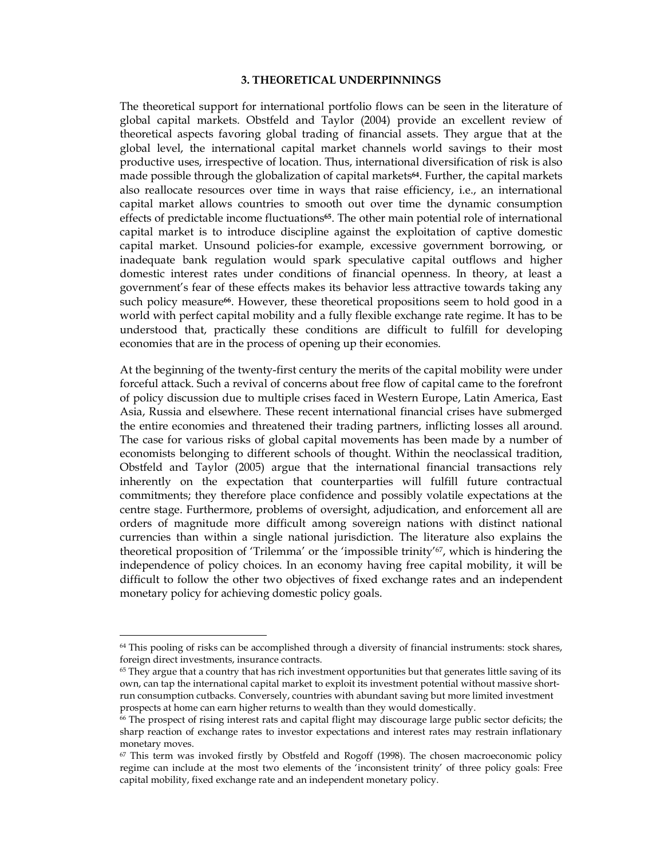#### 3. THEORETICAL UNDERPINNINGS

The theoretical support for international portfolio flows can be seen in the literature of global capital markets. Obstfeld and Taylor (2004) provide an excellent review of theoretical aspects favoring global trading of financial assets. They argue that at the global level, the international capital market channels world savings to their most productive uses, irrespective of location. Thus, international diversification of risk is also made possible through the globalization of capital markets<sup>64</sup>. Further, the capital markets also reallocate resources over time in ways that raise efficiency, i.e., an international capital market allows countries to smooth out over time the dynamic consumption effects of predictable income fluctuations<sup>65</sup>. The other main potential role of international capital market is to introduce discipline against the exploitation of captive domestic capital market. Unsound policies-for example, excessive government borrowing, or inadequate bank regulation would spark speculative capital outflows and higher domestic interest rates under conditions of financial openness. In theory, at least a government's fear of these effects makes its behavior less attractive towards taking any such policy measure<sup>66</sup>. However, these theoretical propositions seem to hold good in a world with perfect capital mobility and a fully flexible exchange rate regime. It has to be understood that, practically these conditions are difficult to fulfill for developing economies that are in the process of opening up their economies.

At the beginning of the twenty-first century the merits of the capital mobility were under forceful attack. Such a revival of concerns about free flow of capital came to the forefront of policy discussion due to multiple crises faced in Western Europe, Latin America, East Asia, Russia and elsewhere. These recent international financial crises have submerged the entire economies and threatened their trading partners, inflicting losses all around. The case for various risks of global capital movements has been made by a number of economists belonging to different schools of thought. Within the neoclassical tradition, Obstfeld and Taylor (2005) argue that the international financial transactions rely inherently on the expectation that counterparties will fulfill future contractual commitments; they therefore place confidence and possibly volatile expectations at the centre stage. Furthermore, problems of oversight, adjudication, and enforcement all are orders of magnitude more difficult among sovereign nations with distinct national currencies than within a single national jurisdiction. The literature also explains the theoretical proposition of 'Trilemma' or the 'impossible trinity'67, which is hindering the independence of policy choices. In an economy having free capital mobility, it will be difficult to follow the other two objectives of fixed exchange rates and an independent monetary policy for achieving domestic policy goals.

<sup>64</sup> This pooling of risks can be accomplished through a diversity of financial instruments: stock shares, foreign direct investments, insurance contracts.

 $65$  They argue that a country that has rich investment opportunities but that generates little saving of its own, can tap the international capital market to exploit its investment potential without massive shortrun consumption cutbacks. Conversely, countries with abundant saving but more limited investment prospects at home can earn higher returns to wealth than they would domestically.

<sup>66</sup> The prospect of rising interest rats and capital flight may discourage large public sector deficits; the sharp reaction of exchange rates to investor expectations and interest rates may restrain inflationary monetary moves.

<sup>67</sup> This term was invoked firstly by Obstfeld and Rogoff (1998). The chosen macroeconomic policy regime can include at the most two elements of the 'inconsistent trinity' of three policy goals: Free capital mobility, fixed exchange rate and an independent monetary policy.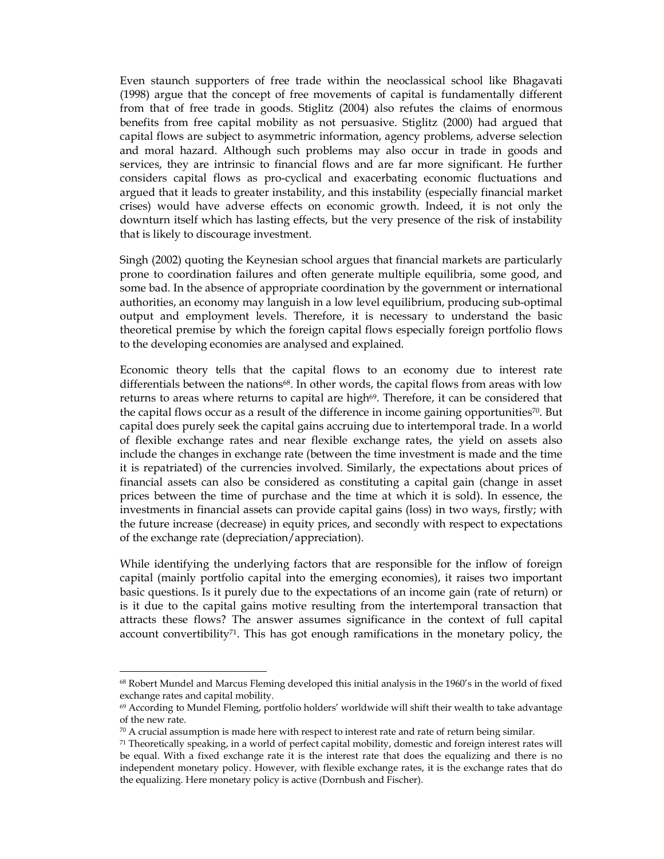Even staunch supporters of free trade within the neoclassical school like Bhagavati (1998) argue that the concept of free movements of capital is fundamentally different from that of free trade in goods. Stiglitz (2004) also refutes the claims of enormous benefits from free capital mobility as not persuasive. Stiglitz (2000) had argued that capital flows are subject to asymmetric information, agency problems, adverse selection and moral hazard. Although such problems may also occur in trade in goods and services, they are intrinsic to financial flows and are far more significant. He further considers capital flows as pro-cyclical and exacerbating economic fluctuations and argued that it leads to greater instability, and this instability (especially financial market crises) would have adverse effects on economic growth. Indeed, it is not only the downturn itself which has lasting effects, but the very presence of the risk of instability that is likely to discourage investment.

Singh (2002) quoting the Keynesian school argues that financial markets are particularly prone to coordination failures and often generate multiple equilibria, some good, and some bad. In the absence of appropriate coordination by the government or international authorities, an economy may languish in a low level equilibrium, producing sub-optimal output and employment levels. Therefore, it is necessary to understand the basic theoretical premise by which the foreign capital flows especially foreign portfolio flows to the developing economies are analysed and explained.

Economic theory tells that the capital flows to an economy due to interest rate differentials between the nations<sup>68</sup>. In other words, the capital flows from areas with low returns to areas where returns to capital are high<sup>69</sup>. Therefore, it can be considered that the capital flows occur as a result of the difference in income gaining opportunities70. But capital does purely seek the capital gains accruing due to intertemporal trade. In a world of flexible exchange rates and near flexible exchange rates, the yield on assets also include the changes in exchange rate (between the time investment is made and the time it is repatriated) of the currencies involved. Similarly, the expectations about prices of financial assets can also be considered as constituting a capital gain (change in asset prices between the time of purchase and the time at which it is sold). In essence, the investments in financial assets can provide capital gains (loss) in two ways, firstly; with the future increase (decrease) in equity prices, and secondly with respect to expectations of the exchange rate (depreciation/appreciation).

While identifying the underlying factors that are responsible for the inflow of foreign capital (mainly portfolio capital into the emerging economies), it raises two important basic questions. Is it purely due to the expectations of an income gain (rate of return) or is it due to the capital gains motive resulting from the intertemporal transaction that attracts these flows? The answer assumes significance in the context of full capital account convertibility<sup>71</sup>. This has got enough ramifications in the monetary policy, the

<sup>68</sup> Robert Mundel and Marcus Fleming developed this initial analysis in the 1960's in the world of fixed exchange rates and capital mobility.

<sup>69</sup> According to Mundel Fleming, portfolio holders' worldwide will shift their wealth to take advantage of the new rate.

 $70$  A crucial assumption is made here with respect to interest rate and rate of return being similar.

<sup>71</sup> Theoretically speaking, in a world of perfect capital mobility, domestic and foreign interest rates will be equal. With a fixed exchange rate it is the interest rate that does the equalizing and there is no independent monetary policy. However, with flexible exchange rates, it is the exchange rates that do the equalizing. Here monetary policy is active (Dornbush and Fischer).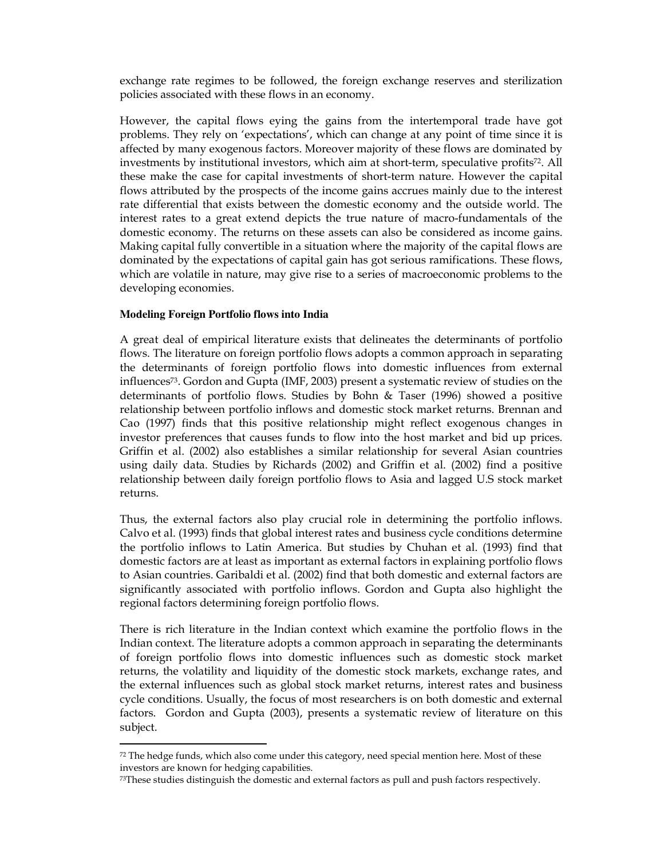exchange rate regimes to be followed, the foreign exchange reserves and sterilization policies associated with these flows in an economy.

However, the capital flows eying the gains from the intertemporal trade have got problems. They rely on 'expectations', which can change at any point of time since it is affected by many exogenous factors. Moreover majority of these flows are dominated by investments by institutional investors, which aim at short-term, speculative profits<sup>72</sup>. All these make the case for capital investments of short-term nature. However the capital flows attributed by the prospects of the income gains accrues mainly due to the interest rate differential that exists between the domestic economy and the outside world. The interest rates to a great extend depicts the true nature of macro-fundamentals of the domestic economy. The returns on these assets can also be considered as income gains. Making capital fully convertible in a situation where the majority of the capital flows are dominated by the expectations of capital gain has got serious ramifications. These flows, which are volatile in nature, may give rise to a series of macroeconomic problems to the developing economies.

## **Modeling Foreign Portfolio flows into India**

-

A great deal of empirical literature exists that delineates the determinants of portfolio flows. The literature on foreign portfolio flows adopts a common approach in separating the determinants of foreign portfolio flows into domestic influences from external influences73. Gordon and Gupta (IMF, 2003) present a systematic review of studies on the determinants of portfolio flows. Studies by Bohn & Taser (1996) showed a positive relationship between portfolio inflows and domestic stock market returns. Brennan and Cao (1997) finds that this positive relationship might reflect exogenous changes in investor preferences that causes funds to flow into the host market and bid up prices. Griffin et al. (2002) also establishes a similar relationship for several Asian countries using daily data. Studies by Richards (2002) and Griffin et al. (2002) find a positive relationship between daily foreign portfolio flows to Asia and lagged U.S stock market returns.

Thus, the external factors also play crucial role in determining the portfolio inflows. Calvo et al. (1993) finds that global interest rates and business cycle conditions determine the portfolio inflows to Latin America. But studies by Chuhan et al. (1993) find that domestic factors are at least as important as external factors in explaining portfolio flows to Asian countries. Garibaldi et al. (2002) find that both domestic and external factors are significantly associated with portfolio inflows. Gordon and Gupta also highlight the regional factors determining foreign portfolio flows.

There is rich literature in the Indian context which examine the portfolio flows in the Indian context. The literature adopts a common approach in separating the determinants of foreign portfolio flows into domestic influences such as domestic stock market returns, the volatility and liquidity of the domestic stock markets, exchange rates, and the external influences such as global stock market returns, interest rates and business cycle conditions. Usually, the focus of most researchers is on both domestic and external factors. Gordon and Gupta (2003), presents a systematic review of literature on this subject.

 $72$  The hedge funds, which also come under this category, need special mention here. Most of these investors are known for hedging capabilities.

 $73$ These studies distinguish the domestic and external factors as pull and push factors respectively.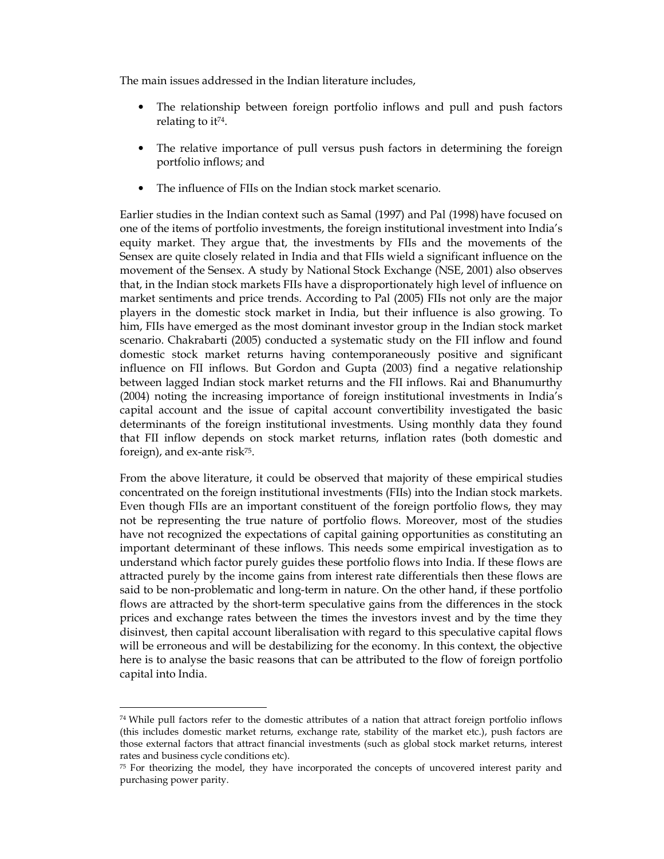The main issues addressed in the Indian literature includes,

- The relationship between foreign portfolio inflows and pull and push factors relating to it74.
- The relative importance of pull versus push factors in determining the foreign portfolio inflows; and
- The influence of FIIs on the Indian stock market scenario.

Earlier studies in the Indian context such as Samal (1997) and Pal (1998) have focused on one of the items of portfolio investments, the foreign institutional investment into India's equity market. They argue that, the investments by FIIs and the movements of the Sensex are quite closely related in India and that FIIs wield a significant influence on the movement of the Sensex. A study by National Stock Exchange (NSE, 2001) also observes that, in the Indian stock markets FIIs have a disproportionately high level of influence on market sentiments and price trends. According to Pal (2005) FIIs not only are the major players in the domestic stock market in India, but their influence is also growing. To him, FIIs have emerged as the most dominant investor group in the Indian stock market scenario. Chakrabarti (2005) conducted a systematic study on the FII inflow and found domestic stock market returns having contemporaneously positive and significant influence on FII inflows. But Gordon and Gupta (2003) find a negative relationship between lagged Indian stock market returns and the FII inflows. Rai and Bhanumurthy (2004) noting the increasing importance of foreign institutional investments in India's capital account and the issue of capital account convertibility investigated the basic determinants of the foreign institutional investments. Using monthly data they found that FII inflow depends on stock market returns, inflation rates (both domestic and foreign), and ex-ante risk<sup>75</sup>.

From the above literature, it could be observed that majority of these empirical studies concentrated on the foreign institutional investments (FIIs) into the Indian stock markets. Even though FIIs are an important constituent of the foreign portfolio flows, they may not be representing the true nature of portfolio flows. Moreover, most of the studies have not recognized the expectations of capital gaining opportunities as constituting an important determinant of these inflows. This needs some empirical investigation as to understand which factor purely guides these portfolio flows into India. If these flows are attracted purely by the income gains from interest rate differentials then these flows are said to be non-problematic and long-term in nature. On the other hand, if these portfolio flows are attracted by the short-term speculative gains from the differences in the stock prices and exchange rates between the times the investors invest and by the time they disinvest, then capital account liberalisation with regard to this speculative capital flows will be erroneous and will be destabilizing for the economy. In this context, the objective here is to analyse the basic reasons that can be attributed to the flow of foreign portfolio capital into India.

<sup>74</sup>While pull factors refer to the domestic attributes of a nation that attract foreign portfolio inflows (this includes domestic market returns, exchange rate, stability of the market etc.), push factors are those external factors that attract financial investments (such as global stock market returns, interest rates and business cycle conditions etc).

<sup>75</sup> For theorizing the model, they have incorporated the concepts of uncovered interest parity and purchasing power parity.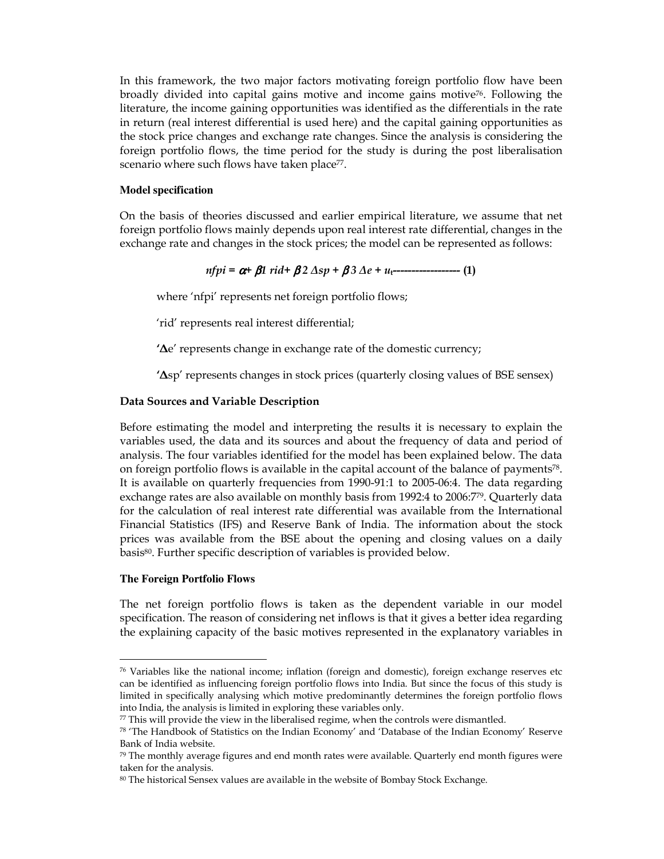In this framework, the two major factors motivating foreign portfolio flow have been broadly divided into capital gains motive and income gains motive<sup>76</sup>. Following the literature, the income gaining opportunities was identified as the differentials in the rate in return (real interest differential is used here) and the capital gaining opportunities as the stock price changes and exchange rate changes. Since the analysis is considering the foreign portfolio flows, the time period for the study is during the post liberalisation scenario where such flows have taken place<sup>77</sup>.

### **Model specification**

On the basis of theories discussed and earlier empirical literature, we assume that net foreign portfolio flows mainly depends upon real interest rate differential, changes in the exchange rate and changes in the stock prices; the model can be represented as follows:

$$
n f p i = \alpha + \beta 1 \, r i d + \beta 2 \, \Delta s p + \beta 3 \, \Delta e + u_1 \cdots \cdots \cdots \cdots \cdots \cdots \quad (1)
$$

where 'nfpi' represents net foreign portfolio flows;

'rid' represents real interest differential;

'∆e' represents change in exchange rate of the domestic currency;

'∆sp' represents changes in stock prices (quarterly closing values of BSE sensex)

## Data Sources and Variable Description

Before estimating the model and interpreting the results it is necessary to explain the variables used, the data and its sources and about the frequency of data and period of analysis. The four variables identified for the model has been explained below. The data on foreign portfolio flows is available in the capital account of the balance of payments78. It is available on quarterly frequencies from 1990-91:1 to 2005-06:4. The data regarding exchange rates are also available on monthly basis from 1992:4 to 2006:779. Quarterly data for the calculation of real interest rate differential was available from the International Financial Statistics (IFS) and Reserve Bank of India. The information about the stock prices was available from the BSE about the opening and closing values on a daily basis80. Further specific description of variables is provided below.

## **The Foreign Portfolio Flows**

-

The net foreign portfolio flows is taken as the dependent variable in our model specification. The reason of considering net inflows is that it gives a better idea regarding the explaining capacity of the basic motives represented in the explanatory variables in

 $76$  Variables like the national income; inflation (foreign and domestic), foreign exchange reserves etc can be identified as influencing foreign portfolio flows into India. But since the focus of this study is limited in specifically analysing which motive predominantly determines the foreign portfolio flows into India, the analysis is limited in exploring these variables only.

 $77$  This will provide the view in the liberalised regime, when the controls were dismantled.

<sup>78</sup> 'The Handbook of Statistics on the Indian Economy' and 'Database of the Indian Economy' Reserve Bank of India website.

 $79$  The monthly average figures and end month rates were available. Quarterly end month figures were taken for the analysis.

<sup>80</sup> The historical Sensex values are available in the website of Bombay Stock Exchange.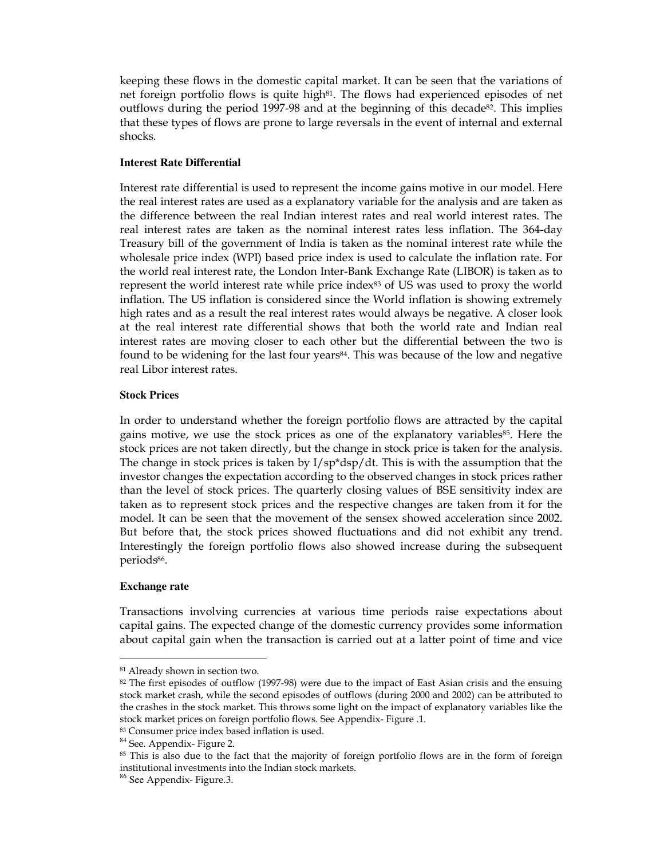keeping these flows in the domestic capital market. It can be seen that the variations of net foreign portfolio flows is quite high<sup>81</sup>. The flows had experienced episodes of net outflows during the period 1997-98 and at the beginning of this decade<sup>82</sup>. This implies that these types of flows are prone to large reversals in the event of internal and external shocks.

## **Interest Rate Differential**

Interest rate differential is used to represent the income gains motive in our model. Here the real interest rates are used as a explanatory variable for the analysis and are taken as the difference between the real Indian interest rates and real world interest rates. The real interest rates are taken as the nominal interest rates less inflation. The 364-day Treasury bill of the government of India is taken as the nominal interest rate while the wholesale price index (WPI) based price index is used to calculate the inflation rate. For the world real interest rate, the London Inter-Bank Exchange Rate (LIBOR) is taken as to represent the world interest rate while price index83 of US was used to proxy the world inflation. The US inflation is considered since the World inflation is showing extremely high rates and as a result the real interest rates would always be negative. A closer look at the real interest rate differential shows that both the world rate and Indian real interest rates are moving closer to each other but the differential between the two is found to be widening for the last four years<sup>84</sup>. This was because of the low and negative real Libor interest rates.

## **Stock Prices**

In order to understand whether the foreign portfolio flows are attracted by the capital gains motive, we use the stock prices as one of the explanatory variables<sup>85</sup>. Here the stock prices are not taken directly, but the change in stock price is taken for the analysis. The change in stock prices is taken by  $I/\text{sp*}\text{dsp}/\text{d}t$ . This is with the assumption that the investor changes the expectation according to the observed changes in stock prices rather than the level of stock prices. The quarterly closing values of BSE sensitivity index are taken as to represent stock prices and the respective changes are taken from it for the model. It can be seen that the movement of the sensex showed acceleration since 2002. But before that, the stock prices showed fluctuations and did not exhibit any trend. Interestingly the foreign portfolio flows also showed increase during the subsequent periods<sup>86</sup>.

## **Exchange rate**

-

Transactions involving currencies at various time periods raise expectations about capital gains. The expected change of the domestic currency provides some information about capital gain when the transaction is carried out at a latter point of time and vice

<sup>81</sup> Already shown in section two.

<sup>&</sup>lt;sup>82</sup> The first episodes of outflow (1997-98) were due to the impact of East Asian crisis and the ensuing stock market crash, while the second episodes of outflows (during 2000 and 2002) can be attributed to the crashes in the stock market. This throws some light on the impact of explanatory variables like the stock market prices on foreign portfolio flows. See Appendix- Figure .1.

<sup>83</sup> Consumer price index based inflation is used.

<sup>&</sup>lt;sup>84</sup> See. Appendix- Figure 2.

<sup>85</sup> This is also due to the fact that the majority of foreign portfolio flows are in the form of foreign institutional investments into the Indian stock markets.

<sup>86</sup> See Appendix- Figure.3.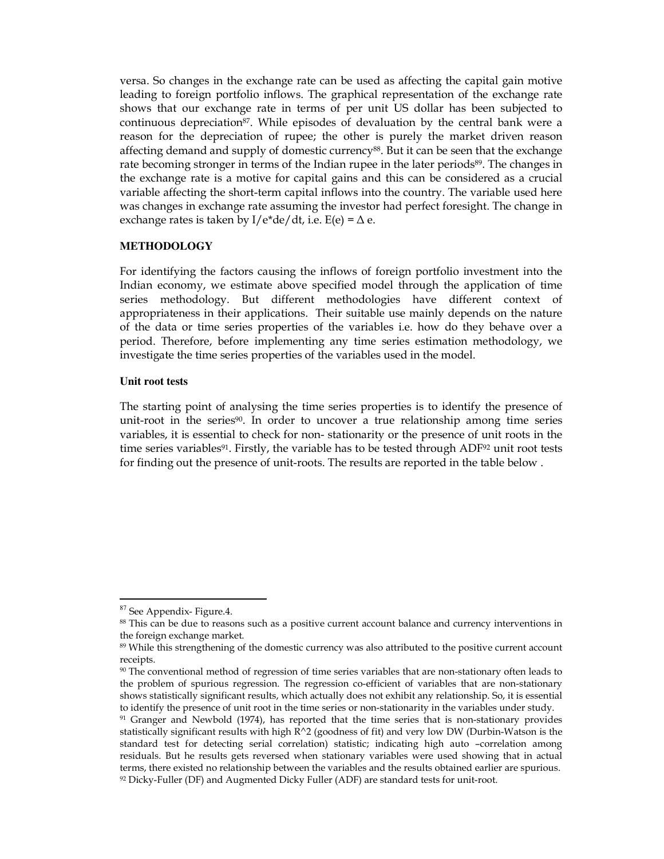versa. So changes in the exchange rate can be used as affecting the capital gain motive leading to foreign portfolio inflows. The graphical representation of the exchange rate shows that our exchange rate in terms of per unit US dollar has been subjected to continuous depreciation<sup>87</sup>. While episodes of devaluation by the central bank were a reason for the depreciation of rupee; the other is purely the market driven reason affecting demand and supply of domestic currency<sup>88</sup>. But it can be seen that the exchange rate becoming stronger in terms of the Indian rupee in the later periods<sup>89</sup>. The changes in the exchange rate is a motive for capital gains and this can be considered as a crucial variable affecting the short-term capital inflows into the country. The variable used here was changes in exchange rate assuming the investor had perfect foresight. The change in exchange rates is taken by I/e\*de/dt, i.e.  $E(e) = \Delta e$ .

## **METHODOLOGY**

For identifying the factors causing the inflows of foreign portfolio investment into the Indian economy, we estimate above specified model through the application of time series methodology. But different methodologies have different context of appropriateness in their applications. Their suitable use mainly depends on the nature of the data or time series properties of the variables i.e. how do they behave over a period. Therefore, before implementing any time series estimation methodology, we investigate the time series properties of the variables used in the model.

## **Unit root tests**

The starting point of analysing the time series properties is to identify the presence of unit-root in the series<sup>90</sup>. In order to uncover a true relationship among time series variables, it is essential to check for non- stationarity or the presence of unit roots in the time series variables<sup>91</sup>. Firstly, the variable has to be tested through ADF<sup>92</sup> unit root tests for finding out the presence of unit-roots. The results are reported in the table below .

<sup>&</sup>lt;sup>87</sup> See Appendix- Figure.4.

<sup>88</sup> This can be due to reasons such as a positive current account balance and currency interventions in the foreign exchange market.

<sup>89</sup> While this strengthening of the domestic currency was also attributed to the positive current account receipts.

<sup>90</sup> The conventional method of regression of time series variables that are non-stationary often leads to the problem of spurious regression. The regression co-efficient of variables that are non-stationary shows statistically significant results, which actually does not exhibit any relationship. So, it is essential to identify the presence of unit root in the time series or non-stationarity in the variables under study.

<sup>&</sup>lt;sup>91</sup> Granger and Newbold (1974), has reported that the time series that is non-stationary provides statistically significant results with high R^2 (goodness of fit) and very low DW (Durbin-Watson is the standard test for detecting serial correlation) statistic; indicating high auto –correlation among residuals. But he results gets reversed when stationary variables were used showing that in actual terms, there existed no relationship between the variables and the results obtained earlier are spurious. 92 Dicky-Fuller (DF) and Augmented Dicky Fuller (ADF) are standard tests for unit-root.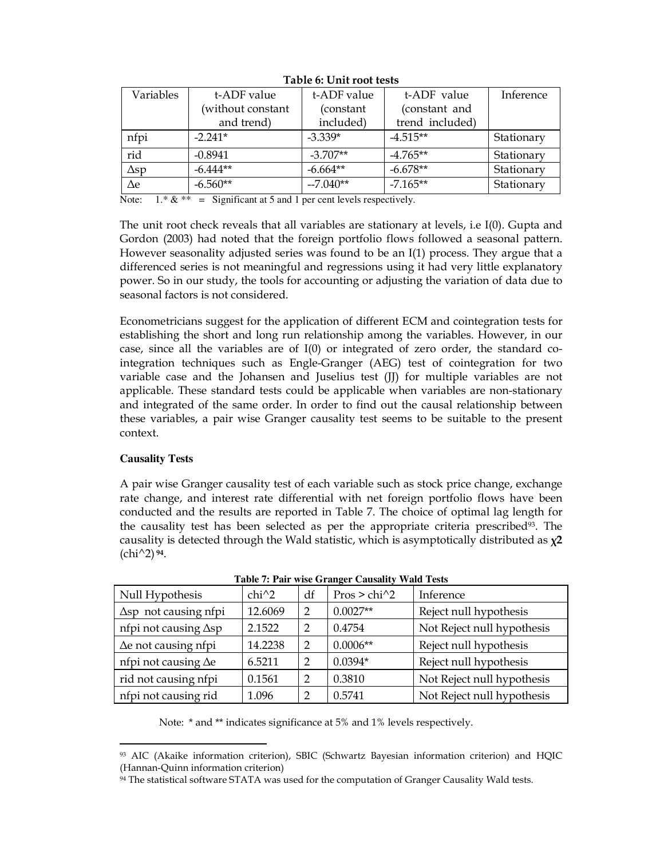| Variables   | t-ADF value       | t-ADF value | t-ADF value     | Inference  |
|-------------|-------------------|-------------|-----------------|------------|
|             | (without constant | (constant   | (constant and   |            |
|             | and trend)        | included)   | trend included) |            |
| nfpi        | $-2.241*$         | $-3.339*$   | $-4.515**$      | Stationary |
| rid         | $-0.8941$         | $-3.707**$  | $-4.765**$      | Stationary |
| $\Delta sp$ | $-6.444**$        | $-6.664**$  | $-6.678**$      | Stationary |
| $\Delta e$  | $-6.560**$        | $-7.040**$  | $-7.165**$      | Stationary |

Table 6: Unit root tests

Note:  $1.* & * =$  Significant at 5 and 1 per cent levels respectively.

The unit root check reveals that all variables are stationary at levels, i.e I(0). Gupta and Gordon (2003) had noted that the foreign portfolio flows followed a seasonal pattern. However seasonality adjusted series was found to be an I(1) process. They argue that a differenced series is not meaningful and regressions using it had very little explanatory power. So in our study, the tools for accounting or adjusting the variation of data due to seasonal factors is not considered.

Econometricians suggest for the application of different ECM and cointegration tests for establishing the short and long run relationship among the variables. However, in our case, since all the variables are of  $I(0)$  or integrated of zero order, the standard cointegration techniques such as Engle-Granger (AEG) test of cointegration for two variable case and the Johansen and Juselius test (JJ) for multiple variables are not applicable. These standard tests could be applicable when variables are non-stationary and integrated of the same order. In order to find out the causal relationship between these variables, a pair wise Granger causality test seems to be suitable to the present context.

## **Causality Tests**

A pair wise Granger causality test of each variable such as stock price change, exchange rate change, and interest rate differential with net foreign portfolio flows have been conducted and the results are reported in Table 7. The choice of optimal lag length for the causality test has been selected as per the appropriate criteria prescribed<sup>93</sup>. The causality is detected through the Wald statistic, which is asymptotically distributed as  $\chi^2$  $\frac{\cosh(1)}{2}$  94.

| Null Hypothesis              | $chi^2$ | df            | $Pros > chi^2$ | Inference                  |
|------------------------------|---------|---------------|----------------|----------------------------|
|                              |         |               |                |                            |
| $\Delta$ sp not causing nfpi | 12.6069 | 2             | $0.0027**$     | Reject null hypothesis     |
| nfpi not causing $\Delta sp$ | 2.1522  | $\mathcal{D}$ | 0.4754         | Not Reject null hypothesis |
| $\Delta$ e not causing nfpi  | 14.2238 | $\mathcal{D}$ | $0.0006**$     | Reject null hypothesis     |
| nfpi not causing $\Delta e$  | 6.5211  | $\mathcal{D}$ | $0.0394*$      | Reject null hypothesis     |
| rid not causing nfpi         | 0.1561  | $\mathcal{D}$ | 0.3810         | Not Reject null hypothesis |
| nfpi not causing rid         | 1.096   |               | 0.5741         | Not Reject null hypothesis |

**Table 7: Pair wise Granger Causality Wald Tests** 

Note: \* and \*\* indicates significance at 5% and 1% levels respectively.

<sup>-</sup><sup>93</sup> AIC (Akaike information criterion), SBIC (Schwartz Bayesian information criterion) and HQIC (Hannan-Quinn information criterion)

<sup>94</sup> The statistical software STATA was used for the computation of Granger Causality Wald tests.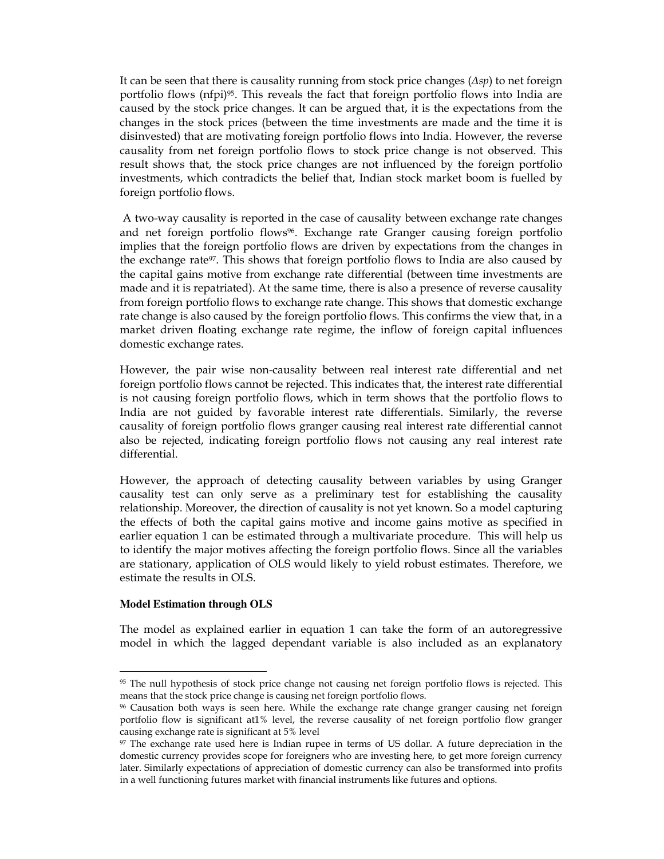It can be seen that there is causality running from stock price changes  $(\Delta sp)$  to net foreign portfolio flows (nfpi)<sup>95</sup>. This reveals the fact that foreign portfolio flows into India are caused by the stock price changes. It can be argued that, it is the expectations from the changes in the stock prices (between the time investments are made and the time it is disinvested) that are motivating foreign portfolio flows into India. However, the reverse causality from net foreign portfolio flows to stock price change is not observed. This result shows that, the stock price changes are not influenced by the foreign portfolio investments, which contradicts the belief that, Indian stock market boom is fuelled by foreign portfolio flows.

 A two-way causality is reported in the case of causality between exchange rate changes and net foreign portfolio flows<sup>96</sup>. Exchange rate Granger causing foreign portfolio implies that the foreign portfolio flows are driven by expectations from the changes in the exchange rate97. This shows that foreign portfolio flows to India are also caused by the capital gains motive from exchange rate differential (between time investments are made and it is repatriated). At the same time, there is also a presence of reverse causality from foreign portfolio flows to exchange rate change. This shows that domestic exchange rate change is also caused by the foreign portfolio flows. This confirms the view that, in a market driven floating exchange rate regime, the inflow of foreign capital influences domestic exchange rates.

However, the pair wise non-causality between real interest rate differential and net foreign portfolio flows cannot be rejected. This indicates that, the interest rate differential is not causing foreign portfolio flows, which in term shows that the portfolio flows to India are not guided by favorable interest rate differentials. Similarly, the reverse causality of foreign portfolio flows granger causing real interest rate differential cannot also be rejected, indicating foreign portfolio flows not causing any real interest rate differential.

However, the approach of detecting causality between variables by using Granger causality test can only serve as a preliminary test for establishing the causality relationship. Moreover, the direction of causality is not yet known. So a model capturing the effects of both the capital gains motive and income gains motive as specified in earlier equation 1 can be estimated through a multivariate procedure. This will help us to identify the major motives affecting the foreign portfolio flows. Since all the variables are stationary, application of OLS would likely to yield robust estimates. Therefore, we estimate the results in OLS.

## **Model Estimation through OLS**

-

The model as explained earlier in equation 1 can take the form of an autoregressive model in which the lagged dependant variable is also included as an explanatory

<sup>95</sup> The null hypothesis of stock price change not causing net foreign portfolio flows is rejected. This means that the stock price change is causing net foreign portfolio flows.

<sup>96</sup> Causation both ways is seen here. While the exchange rate change granger causing net foreign portfolio flow is significant at1% level, the reverse causality of net foreign portfolio flow granger causing exchange rate is significant at 5% level

<sup>97</sup> The exchange rate used here is Indian rupee in terms of US dollar. A future depreciation in the domestic currency provides scope for foreigners who are investing here, to get more foreign currency later. Similarly expectations of appreciation of domestic currency can also be transformed into profits in a well functioning futures market with financial instruments like futures and options.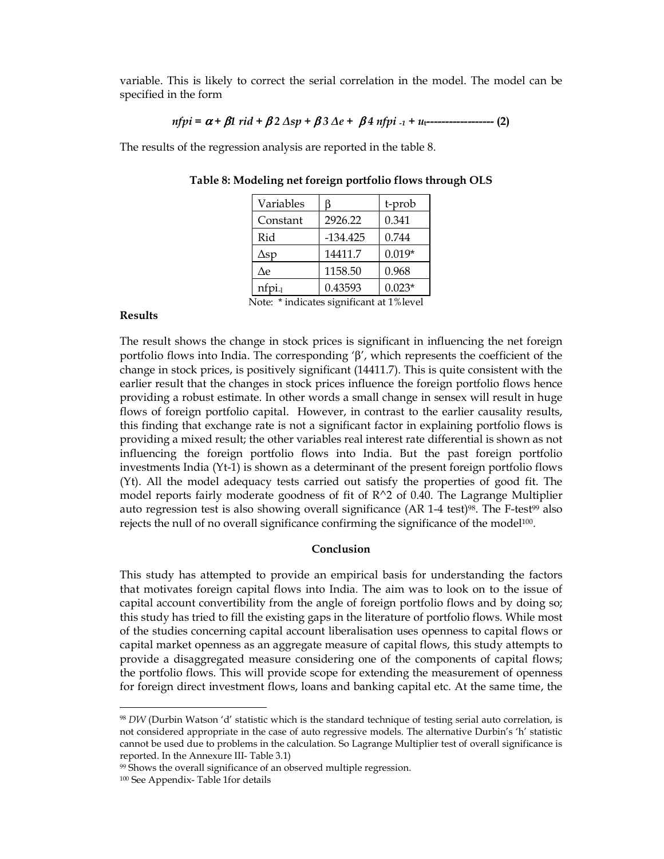variable. This is likely to correct the serial correlation in the model. The model can be specified in the form

$$
n fpi = \alpha + \beta 1 \, r i d + \beta 2 \, \Delta s p + \beta 3 \, \Delta e + \beta 4 \, n fpi_{-1} + u_{t}
$$

The results of the regression analysis are reported in the table 8.

| Variables   | B          | t-prob   |
|-------------|------------|----------|
| Constant    | 2926.22    | 0.341    |
| Rid         | $-134.425$ | 0.744    |
| $\Delta sp$ | 14411.7    | $0.019*$ |
| Δe          | 1158.50    | 0.968    |
| $nfpi-1$    | 0.43593    | $0.023*$ |

Table 8: Modeling net foreign portfolio flows through OLS

Results

Note: \* indicates significant at 1%level

The result shows the change in stock prices is significant in influencing the net foreign portfolio flows into India. The corresponding 'β', which represents the coefficient of the change in stock prices, is positively significant (14411.7). This is quite consistent with the earlier result that the changes in stock prices influence the foreign portfolio flows hence providing a robust estimate. In other words a small change in sensex will result in huge flows of foreign portfolio capital. However, in contrast to the earlier causality results, this finding that exchange rate is not a significant factor in explaining portfolio flows is providing a mixed result; the other variables real interest rate differential is shown as not influencing the foreign portfolio flows into India. But the past foreign portfolio investments India (Yt-1) is shown as a determinant of the present foreign portfolio flows (Yt). All the model adequacy tests carried out satisfy the properties of good fit. The model reports fairly moderate goodness of fit of  $R^2$  of 0.40. The Lagrange Multiplier auto regression test is also showing overall significance  $(AR 1-4 \text{ test})\%$ . The F-test<sup>99</sup> also rejects the null of no overall significance confirming the significance of the model $100$ .

## Conclusion

This study has attempted to provide an empirical basis for understanding the factors that motivates foreign capital flows into India. The aim was to look on to the issue of capital account convertibility from the angle of foreign portfolio flows and by doing so; this study has tried to fill the existing gaps in the literature of portfolio flows. While most of the studies concerning capital account liberalisation uses openness to capital flows or capital market openness as an aggregate measure of capital flows, this study attempts to provide a disaggregated measure considering one of the components of capital flows; the portfolio flows. This will provide scope for extending the measurement of openness for foreign direct investment flows, loans and banking capital etc. At the same time, the

<sup>98</sup> DW (Durbin Watson 'd' statistic which is the standard technique of testing serial auto correlation, is not considered appropriate in the case of auto regressive models. The alternative Durbin's 'h' statistic cannot be used due to problems in the calculation. So Lagrange Multiplier test of overall significance is reported. In the Annexure III- Table 3.1)

<sup>&</sup>lt;sup>99</sup> Shows the overall significance of an observed multiple regression.

<sup>100</sup> See Appendix- Table 1for details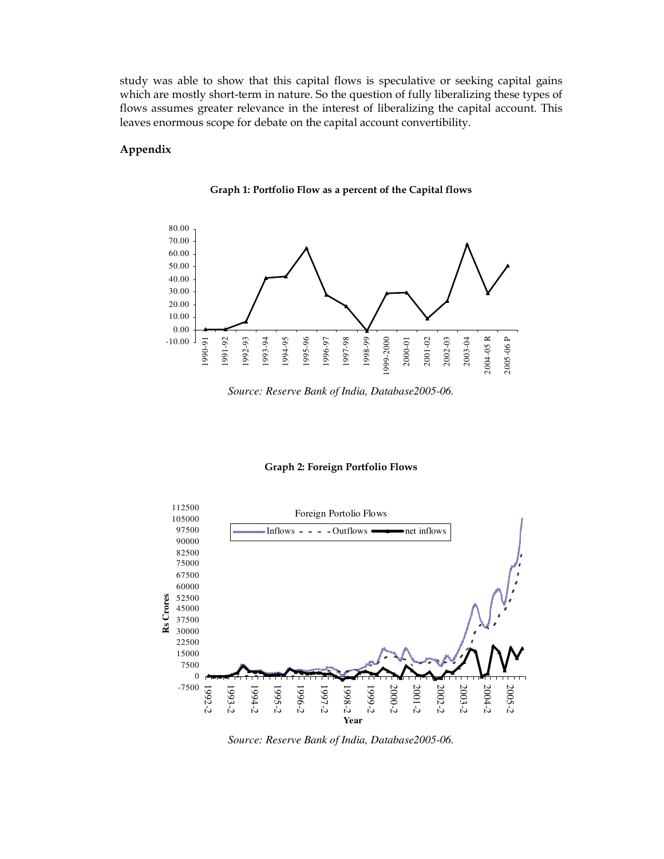study was able to show that this capital flows is speculative or seeking capital gains which are mostly short-term in nature. So the question of fully liberalizing these types of flows assumes greater relevance in the interest of liberalizing the capital account. This leaves enormous scope for debate on the capital account convertibility.

## Appendix





*Source: Reserve Bank of India, Database2005-06.* 

#### Graph 2: Foreign Portfolio Flows



*Source: Reserve Bank of India, Database2005-06.*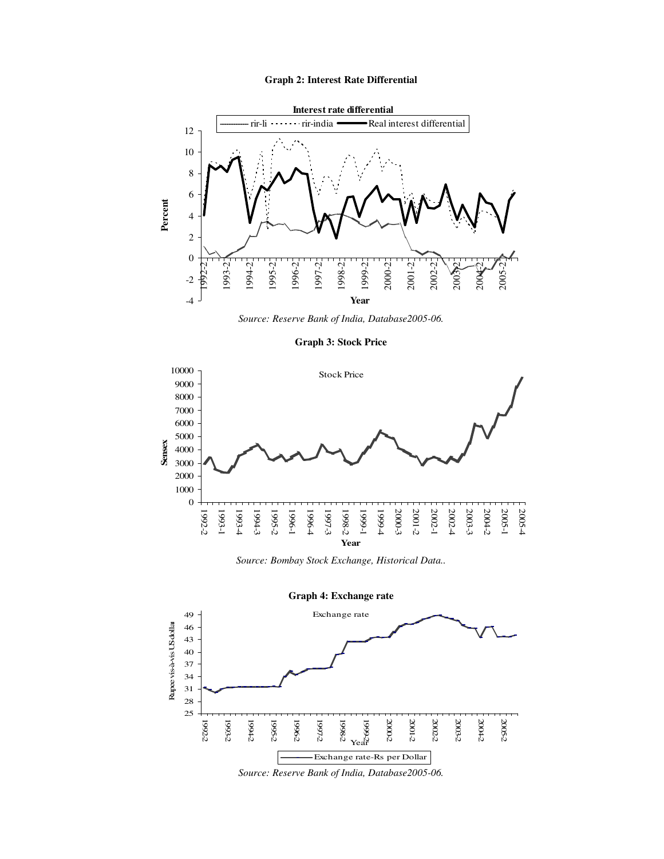#### **Graph 2: Interest Rate Differential**



*Source: Reserve Bank of India, Database2005-06.* 

**Graph 3: Stock Price** 



*Source: Bombay Stock Exchange, Historical Data..* 



*Source: Reserve Bank of India, Database2005-06.*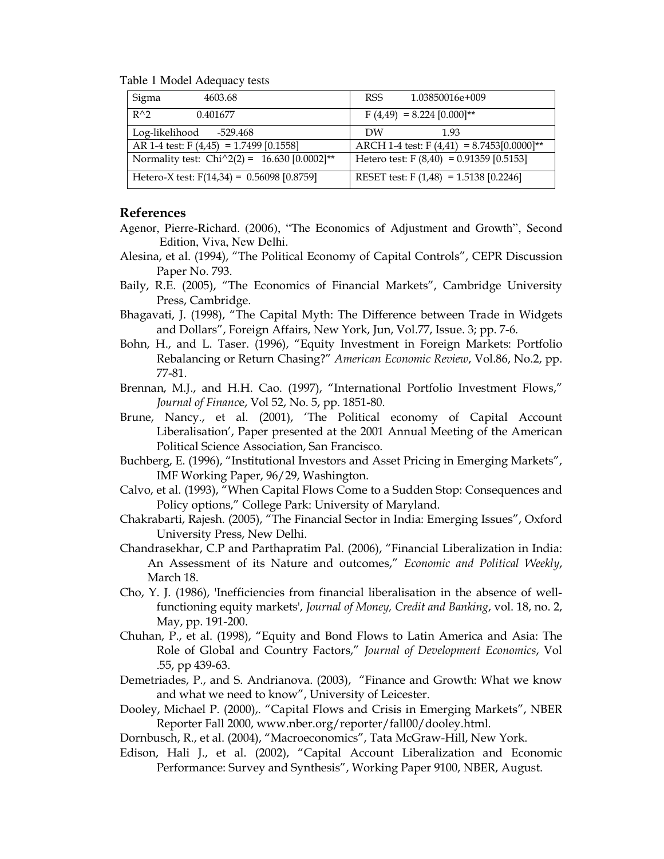Table 1 Model Adequacy tests

| Sigma<br>4603.68                                           | 1.03850016e+009<br>RSS.                        |
|------------------------------------------------------------|------------------------------------------------|
| $R^{\wedge}2$<br>0.401677                                  | $F(4,49) = 8.224 [0.000]^{**}$                 |
| Log-likelihood -529.468                                    | DW<br>1.93                                     |
| AR 1-4 test: $F(4,45) = 1.7499 [0.1558]$                   | ARCH 1-4 test: $F(4,41) = 8.7453[0.0000]^{**}$ |
| Normality test: Chi $\text{^22}(2) = 16.630 [0.0002]^{**}$ | Hetero test: $F(8,40) = 0.91359 [0.5153]$      |
| Hetero-X test: $F(14,34) = 0.56098 [0.8759]$               | RESET test: $F(1,48) = 1.5138 [0.2246]$        |

## References

- Agenor, Pierre-Richard. (2006), "The Economics of Adjustment and Growth", Second Edition, Viva, New Delhi.
- Alesina, et al. (1994), "The Political Economy of Capital Controls", CEPR Discussion Paper No. 793.
- Baily, R.E. (2005), "The Economics of Financial Markets", Cambridge University Press, Cambridge.
- Bhagavati, J. (1998), "The Capital Myth: The Difference between Trade in Widgets and Dollars", Foreign Affairs, New York, Jun, Vol.77, Issue. 3; pp. 7-6.
- Bohn, H., and L. Taser. (1996), "Equity Investment in Foreign Markets: Portfolio Rebalancing or Return Chasing?" American Economic Review, Vol.86, No.2, pp. 77-81.
- Brennan, M.J., and H.H. Cao. (1997), "International Portfolio Investment Flows," Journal of Finance, Vol 52, No. 5, pp. 1851-80.
- Brune, Nancy., et al. (2001), 'The Political economy of Capital Account Liberalisation', Paper presented at the 2001 Annual Meeting of the American Political Science Association, San Francisco.
- Buchberg, E. (1996), "Institutional Investors and Asset Pricing in Emerging Markets", IMF Working Paper, 96/29, Washington.
- Calvo, et al. (1993), "When Capital Flows Come to a Sudden Stop: Consequences and Policy options," College Park: University of Maryland.
- Chakrabarti, Rajesh. (2005), "The Financial Sector in India: Emerging Issues", Oxford University Press, New Delhi.
- Chandrasekhar, C.P and Parthapratim Pal. (2006), "Financial Liberalization in India: An Assessment of its Nature and outcomes," Economic and Political Weekly, March 18.
- Cho, Y. J. (1986), 'Inefficiencies from financial liberalisation in the absence of wellfunctioning equity markets', Journal of Money, Credit and Banking, vol. 18, no. 2, May, pp. 191-200.
- Chuhan, P., et al. (1998), "Equity and Bond Flows to Latin America and Asia: The Role of Global and Country Factors," Journal of Development Economics, Vol .55, pp 439-63.
- Demetriades, P., and S. Andrianova. (2003), "Finance and Growth: What we know and what we need to know", University of Leicester.
- Dooley, Michael P. (2000),. "Capital Flows and Crisis in Emerging Markets", NBER Reporter Fall 2000, www.nber.org/reporter/fall00/dooley.html.
- Dornbusch, R., et al. (2004), "Macroeconomics", Tata McGraw-Hill, New York.
- Edison, Hali J., et al. (2002), "Capital Account Liberalization and Economic Performance: Survey and Synthesis", Working Paper 9100, NBER, August.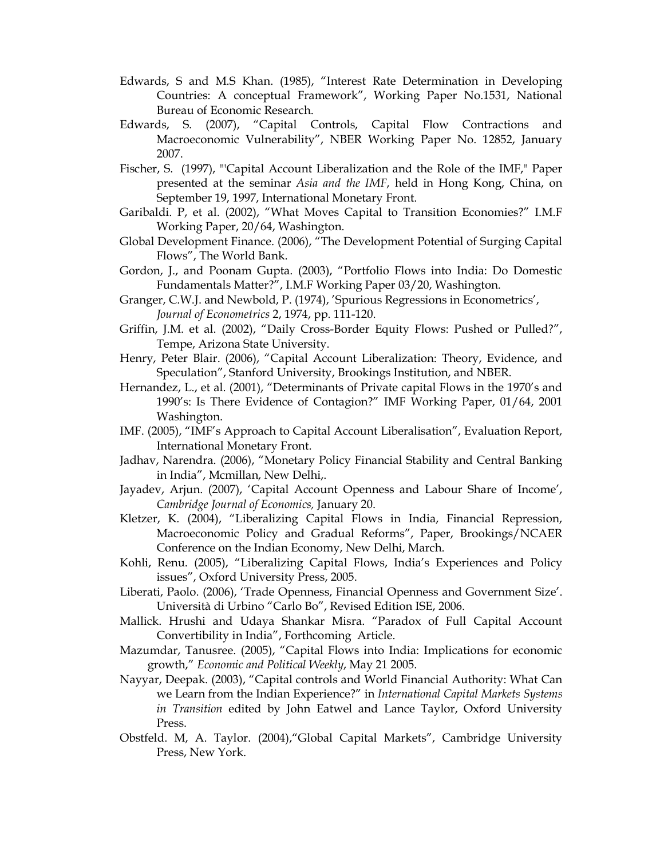- Edwards, S and M.S Khan. (1985), "Interest Rate Determination in Developing Countries: A conceptual Framework", Working Paper No.1531, National Bureau of Economic Research.
- Edwards, S. (2007), "Capital Controls, Capital Flow Contractions and Macroeconomic Vulnerability", NBER Working Paper No. 12852, January 2007.
- Fischer, S. (1997), "'Capital Account Liberalization and the Role of the IMF," Paper presented at the seminar Asia and the IMF, held in Hong Kong, China, on September 19, 1997, International Monetary Front.
- Garibaldi. P, et al. (2002), "What Moves Capital to Transition Economies?" I.M.F Working Paper, 20/64, Washington.
- Global Development Finance. (2006), "The Development Potential of Surging Capital Flows", The World Bank.
- Gordon, J., and Poonam Gupta. (2003), "Portfolio Flows into India: Do Domestic Fundamentals Matter?", I.M.F Working Paper 03/20, Washington.
- Granger, C.W.J. and Newbold, P. (1974), 'Spurious Regressions in Econometrics', Journal of Econometrics 2, 1974, pp. 111-120.
- Griffin, J.M. et al. (2002), "Daily Cross-Border Equity Flows: Pushed or Pulled?", Tempe, Arizona State University.
- Henry, Peter Blair. (2006), "Capital Account Liberalization: Theory, Evidence, and Speculation", Stanford University, Brookings Institution, and NBER.
- Hernandez, L., et al. (2001), "Determinants of Private capital Flows in the 1970's and 1990's: Is There Evidence of Contagion?" IMF Working Paper, 01/64, 2001 Washington.
- IMF. (2005), "IMF's Approach to Capital Account Liberalisation", Evaluation Report, International Monetary Front.
- Jadhav, Narendra. (2006), "Monetary Policy Financial Stability and Central Banking in India", Mcmillan, New Delhi,.
- Jayadev, Arjun. (2007), 'Capital Account Openness and Labour Share of Income', Cambridge Journal of Economics, January 20.
- Kletzer, K. (2004), "Liberalizing Capital Flows in India, Financial Repression, Macroeconomic Policy and Gradual Reforms", Paper, Brookings/NCAER Conference on the Indian Economy, New Delhi, March.
- Kohli, Renu. (2005), "Liberalizing Capital Flows, India's Experiences and Policy issues", Oxford University Press, 2005.
- Liberati, Paolo. (2006), 'Trade Openness, Financial Openness and Government Size'. Università di Urbino "Carlo Bo", Revised Edition ISE, 2006.
- Mallick. Hrushi and Udaya Shankar Misra. "Paradox of Full Capital Account Convertibility in India", Forthcoming Article.
- Mazumdar, Tanusree. (2005), "Capital Flows into India: Implications for economic growth," Economic and Political Weekly, May 21 2005.
- Nayyar, Deepak. (2003), "Capital controls and World Financial Authority: What Can we Learn from the Indian Experience?" in International Capital Markets Systems in Transition edited by John Eatwel and Lance Taylor, Oxford University Press.
- Obstfeld. M, A. Taylor. (2004),"Global Capital Markets", Cambridge University Press, New York.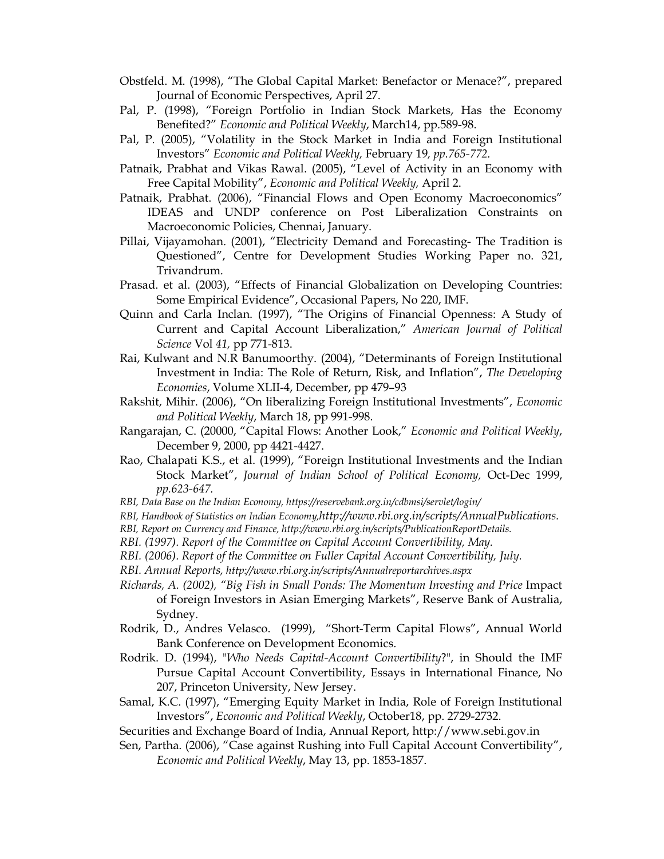- Obstfeld. M. (1998), "The Global Capital Market: Benefactor or Menace?", prepared Journal of Economic Perspectives, April 27.
- Pal, P. (1998), "Foreign Portfolio in Indian Stock Markets, Has the Economy Benefited?" Economic and Political Weekly, March14, pp.589-98.
- Pal, P. (2005), "Volatility in the Stock Market in India and Foreign Institutional Investors" Economic and Political Weekly, February 19, pp.765-772.
- Patnaik, Prabhat and Vikas Rawal. (2005), "Level of Activity in an Economy with Free Capital Mobility", Economic and Political Weekly, April 2.
- Patnaik, Prabhat. (2006), "Financial Flows and Open Economy Macroeconomics" IDEAS and UNDP conference on Post Liberalization Constraints on Macroeconomic Policies, Chennai, January.
- Pillai, Vijayamohan. (2001), "Electricity Demand and Forecasting- The Tradition is Questioned", Centre for Development Studies Working Paper no. 321, Trivandrum.
- Prasad. et al. (2003), "Effects of Financial Globalization on Developing Countries: Some Empirical Evidence", Occasional Papers, No 220, IMF.
- Quinn and Carla Inclan. (1997), "The Origins of Financial Openness: A Study of Current and Capital Account Liberalization," American Journal of Political Science Vol 41, pp 771-813.
- Rai, Kulwant and N.R Banumoorthy. (2004), "Determinants of Foreign Institutional Investment in India: The Role of Return, Risk, and Inflation", The Developing Economies, Volume XLII-4, December, pp 479–93
- Rakshit, Mihir. (2006), "On liberalizing Foreign Institutional Investments", Economic and Political Weekly, March 18, pp 991-998.
- Rangarajan, C. (20000, "Capital Flows: Another Look," Economic and Political Weekly, December 9, 2000, pp 4421-4427.
- Rao, Chalapati K.S., et al. (1999), "Foreign Institutional Investments and the Indian Stock Market", Journal of Indian School of Political Economy, Oct-Dec 1999, pp.623-647.
- RBI, Data Base on the Indian Economy, https://reservebank.org.in/cdbmsi/servlet/login/
- RBI, Handbook of Statistics on Indian Economy,http://www.rbi.org.in/scripts/AnnualPublications.
- RBI, Report on Currency and Finance, http://www.rbi.org.in/scripts/PublicationReportDetails.
- RBI. (1997). Report of the Committee on Capital Account Convertibility, May.
- RBI. (2006). Report of the Committee on Fuller Capital Account Convertibility, July.
- RBI. Annual Reports, http://www.rbi.org.in/scripts/Annualreportarchives.aspx
- Richards, A. (2002), "Big Fish in Small Ponds: The Momentum Investing and Price Impact of Foreign Investors in Asian Emerging Markets", Reserve Bank of Australia, Sydney.
- Rodrik, D., Andres Velasco. (1999), "Short-Term Capital Flows", Annual World Bank Conference on Development Economics.
- Rodrik. D. (1994), "Who Needs Capital-Account Convertibility?", in Should the IMF Pursue Capital Account Convertibility, Essays in International Finance, No 207, Princeton University, New Jersey.
- Samal, K.C. (1997), "Emerging Equity Market in India, Role of Foreign Institutional Investors", Economic and Political Weekly, October18, pp. 2729-2732.
- Securities and Exchange Board of India, Annual Report, http://www.sebi.gov.in
- Sen, Partha. (2006), "Case against Rushing into Full Capital Account Convertibility", Economic and Political Weekly, May 13, pp. 1853-1857.